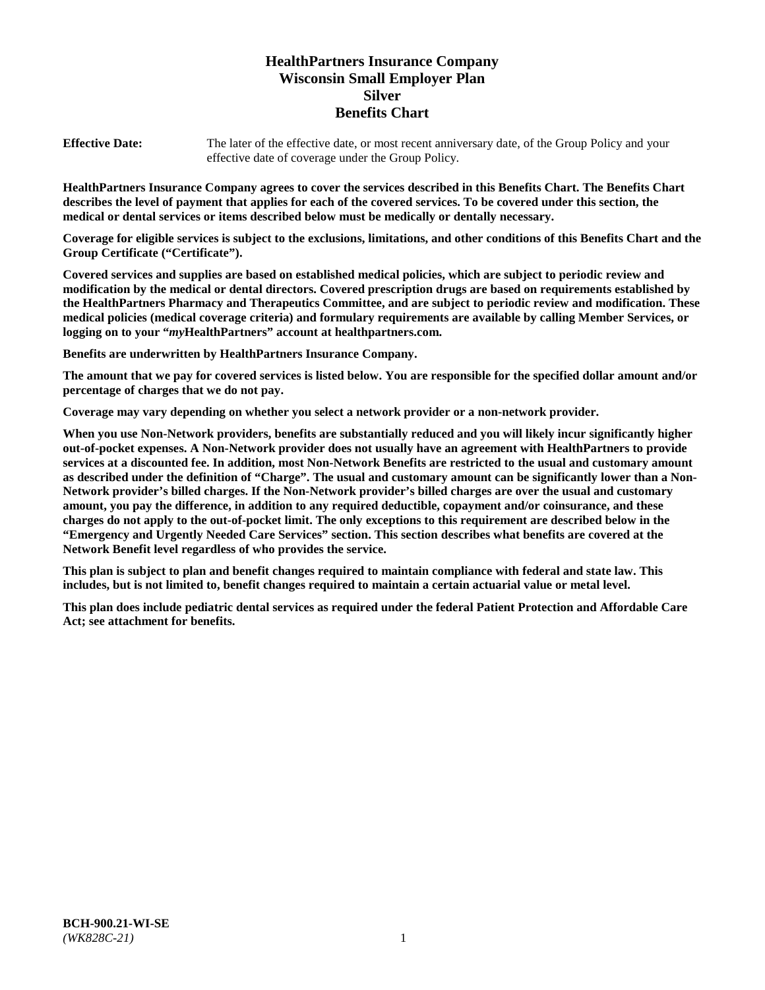# **HealthPartners Insurance Company Wisconsin Small Employer Plan Silver Benefits Chart**

**Effective Date:** The later of the effective date, or most recent anniversary date, of the Group Policy and your effective date of coverage under the Group Policy.

**HealthPartners Insurance Company agrees to cover the services described in this Benefits Chart. The Benefits Chart describes the level of payment that applies for each of the covered services. To be covered under this section, the medical or dental services or items described below must be medically or dentally necessary.**

**Coverage for eligible services is subject to the exclusions, limitations, and other conditions of this Benefits Chart and the Group Certificate ("Certificate").**

**Covered services and supplies are based on established medical policies, which are subject to periodic review and modification by the medical or dental directors. Covered prescription drugs are based on requirements established by the HealthPartners Pharmacy and Therapeutics Committee, and are subject to periodic review and modification. These medical policies (medical coverage criteria) and formulary requirements are available by calling Member Services, or logging on to your "***my***HealthPartners" account at [healthpartners.com.](https://www.healthpartners.com/hp/index.html)**

**Benefits are underwritten by HealthPartners Insurance Company.**

**The amount that we pay for covered services is listed below. You are responsible for the specified dollar amount and/or percentage of charges that we do not pay.**

**Coverage may vary depending on whether you select a network provider or a non-network provider.**

**When you use Non-Network providers, benefits are substantially reduced and you will likely incur significantly higher out-of-pocket expenses. A Non-Network provider does not usually have an agreement with HealthPartners to provide services at a discounted fee. In addition, most Non-Network Benefits are restricted to the usual and customary amount as described under the definition of "Charge". The usual and customary amount can be significantly lower than a Non-Network provider's billed charges. If the Non-Network provider's billed charges are over the usual and customary amount, you pay the difference, in addition to any required deductible, copayment and/or coinsurance, and these charges do not apply to the out-of-pocket limit. The only exceptions to this requirement are described below in the "Emergency and Urgently Needed Care Services" section. This section describes what benefits are covered at the Network Benefit level regardless of who provides the service.**

**This plan is subject to plan and benefit changes required to maintain compliance with federal and state law. This includes, but is not limited to, benefit changes required to maintain a certain actuarial value or metal level.**

**This plan does include pediatric dental services as required under the federal Patient Protection and Affordable Care Act; see attachment for benefits.**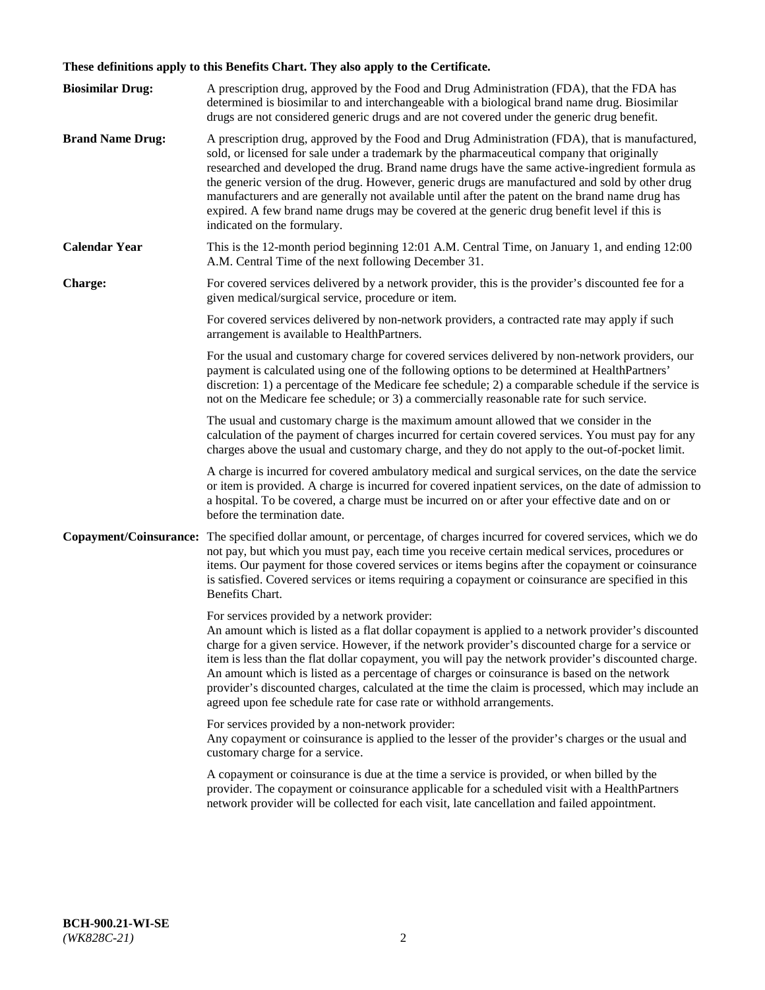# **These definitions apply to this Benefits Chart. They also apply to the Certificate.**

| <b>Biosimilar Drug:</b> | A prescription drug, approved by the Food and Drug Administration (FDA), that the FDA has<br>determined is biosimilar to and interchangeable with a biological brand name drug. Biosimilar<br>drugs are not considered generic drugs and are not covered under the generic drug benefit.                                                                                                                                                                                                                                                                                                                                                     |
|-------------------------|----------------------------------------------------------------------------------------------------------------------------------------------------------------------------------------------------------------------------------------------------------------------------------------------------------------------------------------------------------------------------------------------------------------------------------------------------------------------------------------------------------------------------------------------------------------------------------------------------------------------------------------------|
| <b>Brand Name Drug:</b> | A prescription drug, approved by the Food and Drug Administration (FDA), that is manufactured,<br>sold, or licensed for sale under a trademark by the pharmaceutical company that originally<br>researched and developed the drug. Brand name drugs have the same active-ingredient formula as<br>the generic version of the drug. However, generic drugs are manufactured and sold by other drug<br>manufacturers and are generally not available until after the patent on the brand name drug has<br>expired. A few brand name drugs may be covered at the generic drug benefit level if this is<br>indicated on the formulary.           |
| <b>Calendar Year</b>    | This is the 12-month period beginning 12:01 A.M. Central Time, on January 1, and ending 12:00<br>A.M. Central Time of the next following December 31.                                                                                                                                                                                                                                                                                                                                                                                                                                                                                        |
| <b>Charge:</b>          | For covered services delivered by a network provider, this is the provider's discounted fee for a<br>given medical/surgical service, procedure or item.                                                                                                                                                                                                                                                                                                                                                                                                                                                                                      |
|                         | For covered services delivered by non-network providers, a contracted rate may apply if such<br>arrangement is available to HealthPartners.                                                                                                                                                                                                                                                                                                                                                                                                                                                                                                  |
|                         | For the usual and customary charge for covered services delivered by non-network providers, our<br>payment is calculated using one of the following options to be determined at HealthPartners'<br>discretion: 1) a percentage of the Medicare fee schedule; 2) a comparable schedule if the service is<br>not on the Medicare fee schedule; or 3) a commercially reasonable rate for such service.                                                                                                                                                                                                                                          |
|                         | The usual and customary charge is the maximum amount allowed that we consider in the<br>calculation of the payment of charges incurred for certain covered services. You must pay for any<br>charges above the usual and customary charge, and they do not apply to the out-of-pocket limit.                                                                                                                                                                                                                                                                                                                                                 |
|                         | A charge is incurred for covered ambulatory medical and surgical services, on the date the service<br>or item is provided. A charge is incurred for covered inpatient services, on the date of admission to<br>a hospital. To be covered, a charge must be incurred on or after your effective date and on or<br>before the termination date.                                                                                                                                                                                                                                                                                                |
| Copayment/Coinsurance:  | The specified dollar amount, or percentage, of charges incurred for covered services, which we do<br>not pay, but which you must pay, each time you receive certain medical services, procedures or<br>items. Our payment for those covered services or items begins after the copayment or coinsurance<br>is satisfied. Covered services or items requiring a copayment or coinsurance are specified in this<br>Benefits Chart.                                                                                                                                                                                                             |
|                         | For services provided by a network provider:<br>An amount which is listed as a flat dollar copayment is applied to a network provider's discounted<br>charge for a given service. However, if the network provider's discounted charge for a service or<br>item is less than the flat dollar copayment, you will pay the network provider's discounted charge.<br>An amount which is listed as a percentage of charges or coinsurance is based on the network<br>provider's discounted charges, calculated at the time the claim is processed, which may include an<br>agreed upon fee schedule rate for case rate or withhold arrangements. |
|                         | For services provided by a non-network provider:<br>Any copayment or coinsurance is applied to the lesser of the provider's charges or the usual and<br>customary charge for a service.                                                                                                                                                                                                                                                                                                                                                                                                                                                      |
|                         | A copayment or coinsurance is due at the time a service is provided, or when billed by the<br>provider. The copayment or coinsurance applicable for a scheduled visit with a HealthPartners<br>network provider will be collected for each visit, late cancellation and failed appointment.                                                                                                                                                                                                                                                                                                                                                  |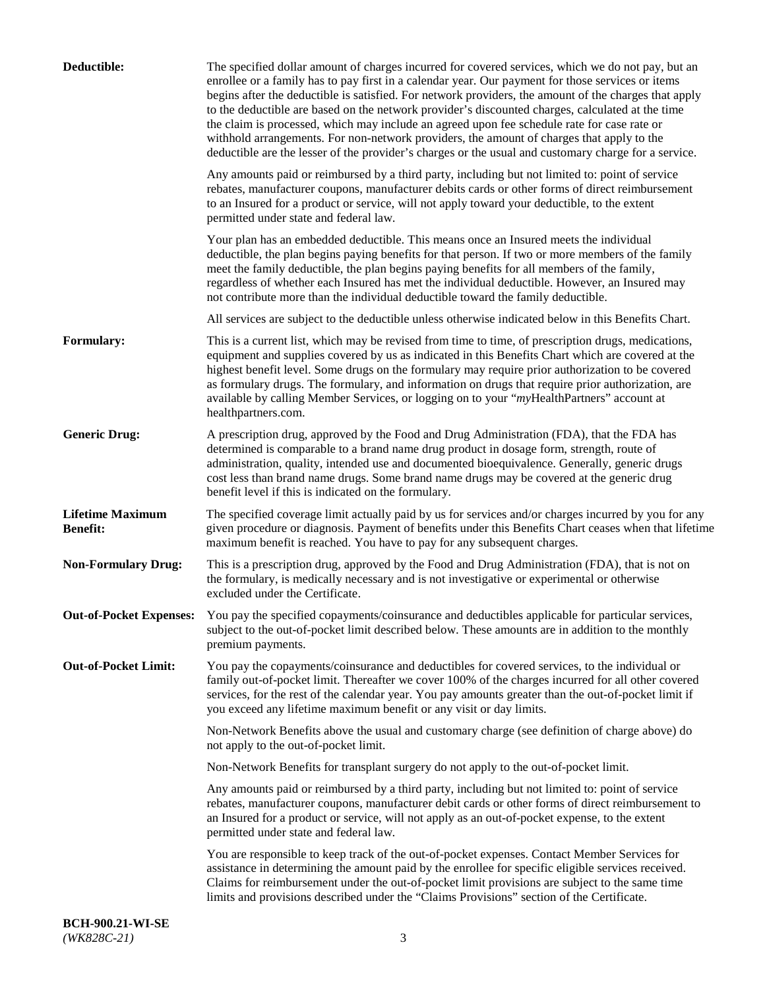| Deductible:                                | The specified dollar amount of charges incurred for covered services, which we do not pay, but an<br>enrollee or a family has to pay first in a calendar year. Our payment for those services or items<br>begins after the deductible is satisfied. For network providers, the amount of the charges that apply<br>to the deductible are based on the network provider's discounted charges, calculated at the time<br>the claim is processed, which may include an agreed upon fee schedule rate for case rate or<br>withhold arrangements. For non-network providers, the amount of charges that apply to the<br>deductible are the lesser of the provider's charges or the usual and customary charge for a service. |
|--------------------------------------------|-------------------------------------------------------------------------------------------------------------------------------------------------------------------------------------------------------------------------------------------------------------------------------------------------------------------------------------------------------------------------------------------------------------------------------------------------------------------------------------------------------------------------------------------------------------------------------------------------------------------------------------------------------------------------------------------------------------------------|
|                                            | Any amounts paid or reimbursed by a third party, including but not limited to: point of service<br>rebates, manufacturer coupons, manufacturer debits cards or other forms of direct reimbursement<br>to an Insured for a product or service, will not apply toward your deductible, to the extent<br>permitted under state and federal law.                                                                                                                                                                                                                                                                                                                                                                            |
|                                            | Your plan has an embedded deductible. This means once an Insured meets the individual<br>deductible, the plan begins paying benefits for that person. If two or more members of the family<br>meet the family deductible, the plan begins paying benefits for all members of the family,<br>regardless of whether each Insured has met the individual deductible. However, an Insured may<br>not contribute more than the individual deductible toward the family deductible.                                                                                                                                                                                                                                           |
|                                            | All services are subject to the deductible unless otherwise indicated below in this Benefits Chart.                                                                                                                                                                                                                                                                                                                                                                                                                                                                                                                                                                                                                     |
| Formulary:                                 | This is a current list, which may be revised from time to time, of prescription drugs, medications,<br>equipment and supplies covered by us as indicated in this Benefits Chart which are covered at the<br>highest benefit level. Some drugs on the formulary may require prior authorization to be covered<br>as formulary drugs. The formulary, and information on drugs that require prior authorization, are<br>available by calling Member Services, or logging on to your "myHealthPartners" account at<br>healthpartners.com.                                                                                                                                                                                   |
| <b>Generic Drug:</b>                       | A prescription drug, approved by the Food and Drug Administration (FDA), that the FDA has<br>determined is comparable to a brand name drug product in dosage form, strength, route of<br>administration, quality, intended use and documented bioequivalence. Generally, generic drugs<br>cost less than brand name drugs. Some brand name drugs may be covered at the generic drug<br>benefit level if this is indicated on the formulary.                                                                                                                                                                                                                                                                             |
| <b>Lifetime Maximum</b><br><b>Benefit:</b> | The specified coverage limit actually paid by us for services and/or charges incurred by you for any<br>given procedure or diagnosis. Payment of benefits under this Benefits Chart ceases when that lifetime<br>maximum benefit is reached. You have to pay for any subsequent charges.                                                                                                                                                                                                                                                                                                                                                                                                                                |
| <b>Non-Formulary Drug:</b>                 | This is a prescription drug, approved by the Food and Drug Administration (FDA), that is not on<br>the formulary, is medically necessary and is not investigative or experimental or otherwise<br>excluded under the Certificate.                                                                                                                                                                                                                                                                                                                                                                                                                                                                                       |
|                                            | Out-of-Pocket Expenses: You pay the specified copayments/coinsurance and deductibles applicable for particular services,<br>subject to the out-of-pocket limit described below. These amounts are in addition to the monthly<br>premium payments.                                                                                                                                                                                                                                                                                                                                                                                                                                                                       |
| <b>Out-of-Pocket Limit:</b>                | You pay the copayments/coinsurance and deductibles for covered services, to the individual or<br>family out-of-pocket limit. Thereafter we cover 100% of the charges incurred for all other covered<br>services, for the rest of the calendar year. You pay amounts greater than the out-of-pocket limit if<br>you exceed any lifetime maximum benefit or any visit or day limits.                                                                                                                                                                                                                                                                                                                                      |
|                                            | Non-Network Benefits above the usual and customary charge (see definition of charge above) do<br>not apply to the out-of-pocket limit.                                                                                                                                                                                                                                                                                                                                                                                                                                                                                                                                                                                  |
|                                            | Non-Network Benefits for transplant surgery do not apply to the out-of-pocket limit.                                                                                                                                                                                                                                                                                                                                                                                                                                                                                                                                                                                                                                    |
|                                            | Any amounts paid or reimbursed by a third party, including but not limited to: point of service<br>rebates, manufacturer coupons, manufacturer debit cards or other forms of direct reimbursement to<br>an Insured for a product or service, will not apply as an out-of-pocket expense, to the extent<br>permitted under state and federal law.                                                                                                                                                                                                                                                                                                                                                                        |
|                                            | You are responsible to keep track of the out-of-pocket expenses. Contact Member Services for<br>assistance in determining the amount paid by the enrollee for specific eligible services received.<br>Claims for reimbursement under the out-of-pocket limit provisions are subject to the same time<br>limits and provisions described under the "Claims Provisions" section of the Certificate.                                                                                                                                                                                                                                                                                                                       |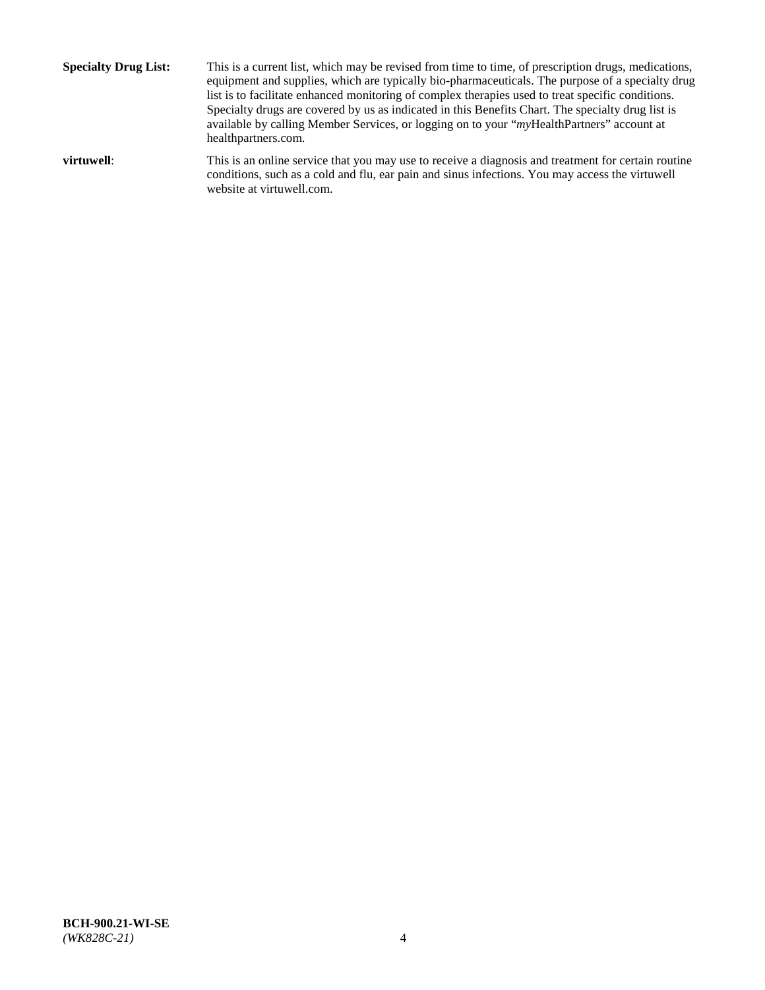**Specialty Drug List:** This is a current list, which may be revised from time to time, of prescription drugs, medications, equipment and supplies, which are typically bio-pharmaceuticals. The purpose of a specialty drug list is to facilitate enhanced monitoring of complex therapies used to treat specific conditions. Specialty drugs are covered by us as indicated in this Benefits Chart. The specialty drug list is available by calling Member Services, or logging on to your "*my*HealthPartners" account at [healthpartners.com.](http://www.healthpartners.com/) **virtuwell:** This is an online service that you may use to receive a diagnosis and treatment for certain routine conditions, such as a cold and flu, ear pain and sinus infections. You may access the virtuwell

website at [virtuwell.com.](http://www.virtuwell.com/)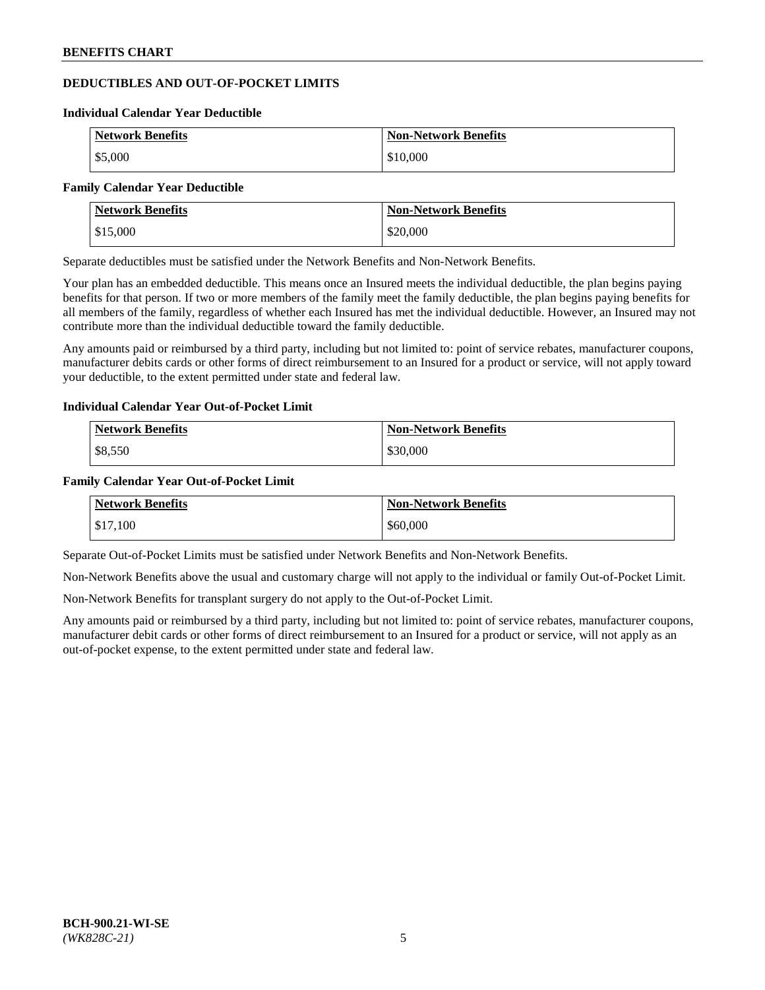# **DEDUCTIBLES AND OUT-OF-POCKET LIMITS**

#### **Individual Calendar Year Deductible**

| <b>Network Benefits</b> | <b>Non-Network Benefits</b> |
|-------------------------|-----------------------------|
| \$5,000                 | \$10,000                    |

#### **Family Calendar Year Deductible**

| <b>Network Benefits</b> | <b>Non-Network Benefits</b> |
|-------------------------|-----------------------------|
| \$15,000                | \$20,000                    |

Separate deductibles must be satisfied under the Network Benefits and Non-Network Benefits.

Your plan has an embedded deductible. This means once an Insured meets the individual deductible, the plan begins paying benefits for that person. If two or more members of the family meet the family deductible, the plan begins paying benefits for all members of the family, regardless of whether each Insured has met the individual deductible. However, an Insured may not contribute more than the individual deductible toward the family deductible.

Any amounts paid or reimbursed by a third party, including but not limited to: point of service rebates, manufacturer coupons, manufacturer debits cards or other forms of direct reimbursement to an Insured for a product or service, will not apply toward your deductible, to the extent permitted under state and federal law.

#### **Individual Calendar Year Out-of-Pocket Limit**

| <b>Network Benefits</b> | <b>Non-Network Benefits</b> |
|-------------------------|-----------------------------|
| \$8,550                 | \$30,000                    |

#### **Family Calendar Year Out-of-Pocket Limit**

| <b>Network Benefits</b> | Non-Network Benefits |
|-------------------------|----------------------|
| \$17,100                | \$60,000             |

Separate Out-of-Pocket Limits must be satisfied under Network Benefits and Non-Network Benefits.

Non-Network Benefits above the usual and customary charge will not apply to the individual or family Out-of-Pocket Limit.

Non-Network Benefits for transplant surgery do not apply to the Out-of-Pocket Limit.

Any amounts paid or reimbursed by a third party, including but not limited to: point of service rebates, manufacturer coupons, manufacturer debit cards or other forms of direct reimbursement to an Insured for a product or service, will not apply as an out-of-pocket expense, to the extent permitted under state and federal law.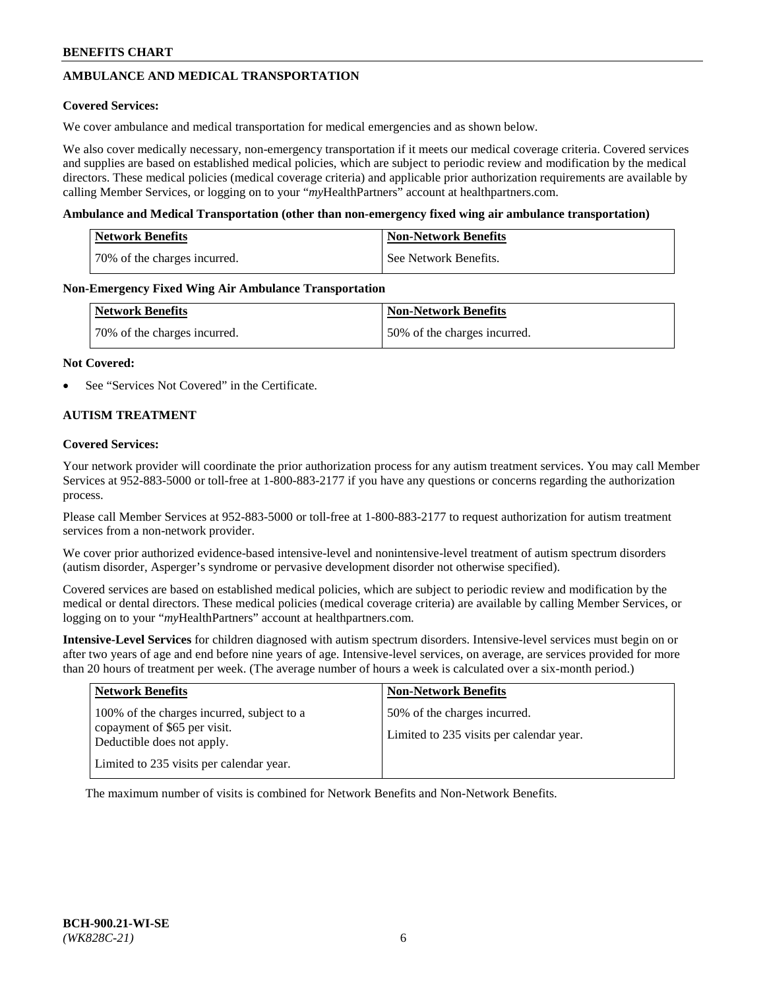# **AMBULANCE AND MEDICAL TRANSPORTATION**

### **Covered Services:**

We cover ambulance and medical transportation for medical emergencies and as shown below.

We also cover medically necessary, non-emergency transportation if it meets our medical coverage criteria. Covered services and supplies are based on established medical policies, which are subject to periodic review and modification by the medical directors. These medical policies (medical coverage criteria) and applicable prior authorization requirements are available by calling Member Services, or logging on to your "*my*HealthPartners" account a[t healthpartners.com.](https://www.healthpartners.com/hp/index.html)

### **Ambulance and Medical Transportation (other than non-emergency fixed wing air ambulance transportation)**

| <b>Network Benefits</b>      | <b>Non-Network Benefits</b> |
|------------------------------|-----------------------------|
| 70% of the charges incurred. | See Network Benefits.       |

### **Non-Emergency Fixed Wing Air Ambulance Transportation**

| <b>Network Benefits</b>      | <b>Non-Network Benefits</b>  |
|------------------------------|------------------------------|
| 70% of the charges incurred. | 50% of the charges incurred. |

### **Not Covered:**

See "Services Not Covered" in the Certificate.

## **AUTISM TREATMENT**

### **Covered Services:**

Your network provider will coordinate the prior authorization process for any autism treatment services. You may call Member Services at 952-883-5000 or toll-free at 1-800-883-2177 if you have any questions or concerns regarding the authorization process.

Please call Member Services at 952-883-5000 or toll-free at 1-800-883-2177 to request authorization for autism treatment services from a non-network provider.

We cover prior authorized evidence-based intensive-level and nonintensive-level treatment of autism spectrum disorders (autism disorder, Asperger's syndrome or pervasive development disorder not otherwise specified).

Covered services are based on established medical policies, which are subject to periodic review and modification by the medical or dental directors. These medical policies (medical coverage criteria) are available by calling Member Services, or logging on to your "*my*HealthPartners" account at [healthpartners.com.](https://www.healthpartners.com/hp/index.html)

**Intensive-Level Services** for children diagnosed with autism spectrum disorders. Intensive-level services must begin on or after two years of age and end before nine years of age. Intensive-level services, on average, are services provided for more than 20 hours of treatment per week. (The average number of hours a week is calculated over a six-month period.)

| <b>Network Benefits</b>                                                                                                                              | <b>Non-Network Benefits</b>                                              |
|------------------------------------------------------------------------------------------------------------------------------------------------------|--------------------------------------------------------------------------|
| 100% of the charges incurred, subject to a<br>copayment of \$65 per visit.<br>Deductible does not apply.<br>Limited to 235 visits per calendar year. | 50% of the charges incurred.<br>Limited to 235 visits per calendar year. |

The maximum number of visits is combined for Network Benefits and Non-Network Benefits.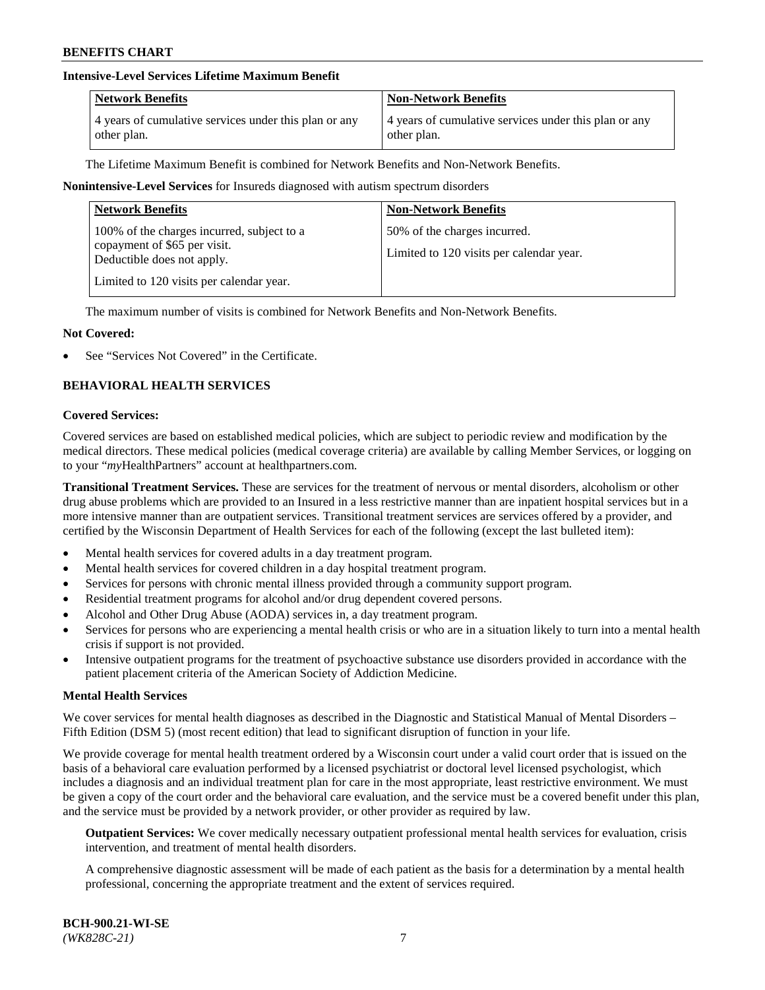# **Intensive-Level Services Lifetime Maximum Benefit**

| <b>Network Benefits</b>                               | <b>Non-Network Benefits</b>                           |
|-------------------------------------------------------|-------------------------------------------------------|
| 4 years of cumulative services under this plan or any | 4 years of cumulative services under this plan or any |
| other plan.                                           | other plan.                                           |

The Lifetime Maximum Benefit is combined for Network Benefits and Non-Network Benefits.

### **Nonintensive-Level Services** for Insureds diagnosed with autism spectrum disorders

| <b>Network Benefits</b>                                                                                                                              | <b>Non-Network Benefits</b>                                              |
|------------------------------------------------------------------------------------------------------------------------------------------------------|--------------------------------------------------------------------------|
| 100% of the charges incurred, subject to a<br>copayment of \$65 per visit.<br>Deductible does not apply.<br>Limited to 120 visits per calendar year. | 50% of the charges incurred.<br>Limited to 120 visits per calendar year. |

The maximum number of visits is combined for Network Benefits and Non-Network Benefits.

### **Not Covered:**

See "Services Not Covered" in the Certificate.

# **BEHAVIORAL HEALTH SERVICES**

#### **Covered Services:**

Covered services are based on established medical policies, which are subject to periodic review and modification by the medical directors. These medical policies (medical coverage criteria) are available by calling Member Services, or logging on to your "*my*HealthPartners" account at [healthpartners.com.](https://www.healthpartners.com/hp/index.html)

**Transitional Treatment Services.** These are services for the treatment of nervous or mental disorders, alcoholism or other drug abuse problems which are provided to an Insured in a less restrictive manner than are inpatient hospital services but in a more intensive manner than are outpatient services. Transitional treatment services are services offered by a provider, and certified by the Wisconsin Department of Health Services for each of the following (except the last bulleted item):

- Mental health services for covered adults in a day treatment program.
- Mental health services for covered children in a day hospital treatment program.
- Services for persons with chronic mental illness provided through a community support program.
- Residential treatment programs for alcohol and/or drug dependent covered persons.
- Alcohol and Other Drug Abuse (AODA) services in, a day treatment program.
- Services for persons who are experiencing a mental health crisis or who are in a situation likely to turn into a mental health crisis if support is not provided.
- Intensive outpatient programs for the treatment of psychoactive substance use disorders provided in accordance with the patient placement criteria of the American Society of Addiction Medicine.

#### **Mental Health Services**

We cover services for mental health diagnoses as described in the Diagnostic and Statistical Manual of Mental Disorders – Fifth Edition (DSM 5) (most recent edition) that lead to significant disruption of function in your life.

We provide coverage for mental health treatment ordered by a Wisconsin court under a valid court order that is issued on the basis of a behavioral care evaluation performed by a licensed psychiatrist or doctoral level licensed psychologist, which includes a diagnosis and an individual treatment plan for care in the most appropriate, least restrictive environment. We must be given a copy of the court order and the behavioral care evaluation, and the service must be a covered benefit under this plan, and the service must be provided by a network provider, or other provider as required by law.

**Outpatient Services:** We cover medically necessary outpatient professional mental health services for evaluation, crisis intervention, and treatment of mental health disorders.

A comprehensive diagnostic assessment will be made of each patient as the basis for a determination by a mental health professional, concerning the appropriate treatment and the extent of services required.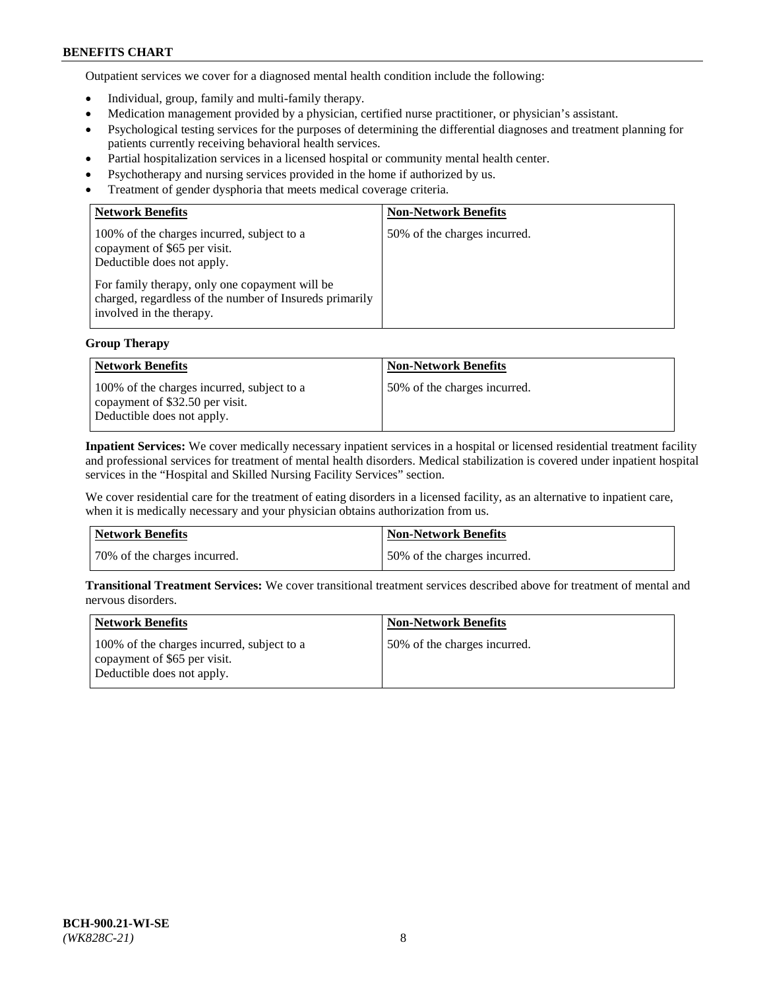Outpatient services we cover for a diagnosed mental health condition include the following:

- Individual, group, family and multi-family therapy.
- Medication management provided by a physician, certified nurse practitioner, or physician's assistant.
- Psychological testing services for the purposes of determining the differential diagnoses and treatment planning for patients currently receiving behavioral health services.
- Partial hospitalization services in a licensed hospital or community mental health center.
- Psychotherapy and nursing services provided in the home if authorized by us.
- Treatment of gender dysphoria that meets medical coverage criteria.

| <b>Network Benefits</b>                                                                                                                                                                                                                           | <b>Non-Network Benefits</b>  |
|---------------------------------------------------------------------------------------------------------------------------------------------------------------------------------------------------------------------------------------------------|------------------------------|
| 100% of the charges incurred, subject to a<br>copayment of \$65 per visit.<br>Deductible does not apply.<br>For family therapy, only one copayment will be<br>charged, regardless of the number of Insureds primarily<br>involved in the therapy. | 50% of the charges incurred. |

## **Group Therapy**

| <b>Network Benefits</b>                                                                                     | <b>Non-Network Benefits</b>  |
|-------------------------------------------------------------------------------------------------------------|------------------------------|
| 100% of the charges incurred, subject to a<br>copayment of \$32.50 per visit.<br>Deductible does not apply. | 50% of the charges incurred. |

**Inpatient Services:** We cover medically necessary inpatient services in a hospital or licensed residential treatment facility and professional services for treatment of mental health disorders. Medical stabilization is covered under inpatient hospital services in the "Hospital and Skilled Nursing Facility Services" section.

We cover residential care for the treatment of eating disorders in a licensed facility, as an alternative to inpatient care, when it is medically necessary and your physician obtains authorization from us.

| Network Benefits             | <b>Non-Network Benefits</b>   |
|------------------------------|-------------------------------|
| 70% of the charges incurred. | 150% of the charges incurred. |

**Transitional Treatment Services:** We cover transitional treatment services described above for treatment of mental and nervous disorders.

| Network Benefits                                                                                         | <b>Non-Network Benefits</b>  |
|----------------------------------------------------------------------------------------------------------|------------------------------|
| 100% of the charges incurred, subject to a<br>copayment of \$65 per visit.<br>Deductible does not apply. | 50% of the charges incurred. |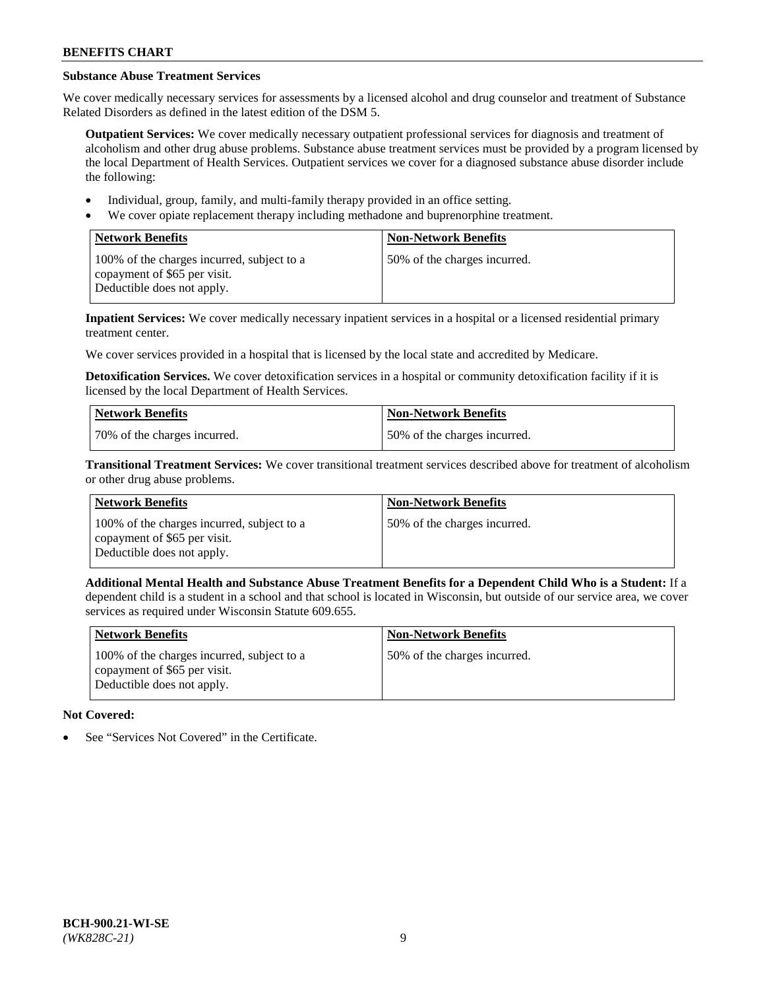# **Substance Abuse Treatment Services**

We cover medically necessary services for assessments by a licensed alcohol and drug counselor and treatment of Substance Related Disorders as defined in the latest edition of the DSM 5.

**Outpatient Services:** We cover medically necessary outpatient professional services for diagnosis and treatment of alcoholism and other drug abuse problems. Substance abuse treatment services must be provided by a program licensed by the local Department of Health Services. Outpatient services we cover for a diagnosed substance abuse disorder include the following:

- Individual, group, family, and multi-family therapy provided in an office setting.
- We cover opiate replacement therapy including methadone and buprenorphine treatment.

| <b>Network Benefits</b>                                                                                  | <b>Non-Network Benefits</b>  |
|----------------------------------------------------------------------------------------------------------|------------------------------|
| 100% of the charges incurred, subject to a<br>copayment of \$65 per visit.<br>Deductible does not apply. | 50% of the charges incurred. |

**Inpatient Services:** We cover medically necessary inpatient services in a hospital or a licensed residential primary treatment center.

We cover services provided in a hospital that is licensed by the local state and accredited by Medicare.

**Detoxification Services.** We cover detoxification services in a hospital or community detoxification facility if it is licensed by the local Department of Health Services.

| Network Benefits             | <b>Non-Network Benefits</b>  |
|------------------------------|------------------------------|
| 70% of the charges incurred. | 50% of the charges incurred. |

**Transitional Treatment Services:** We cover transitional treatment services described above for treatment of alcoholism or other drug abuse problems.

| <b>Network Benefits</b>                                                                                  | <b>Non-Network Benefits</b>  |
|----------------------------------------------------------------------------------------------------------|------------------------------|
| 100% of the charges incurred, subject to a<br>copayment of \$65 per visit.<br>Deductible does not apply. | 50% of the charges incurred. |

**Additional Mental Health and Substance Abuse Treatment Benefits for a Dependent Child Who is a Student:** If a dependent child is a student in a school and that school is located in Wisconsin, but outside of our service area, we cover services as required under Wisconsin Statute 609.655.

| <b>Network Benefits</b>                                                                                  | <b>Non-Network Benefits</b>  |
|----------------------------------------------------------------------------------------------------------|------------------------------|
| 100% of the charges incurred, subject to a<br>copayment of \$65 per visit.<br>Deductible does not apply. | 50% of the charges incurred. |

# **Not Covered:**

See "Services Not Covered" in the Certificate.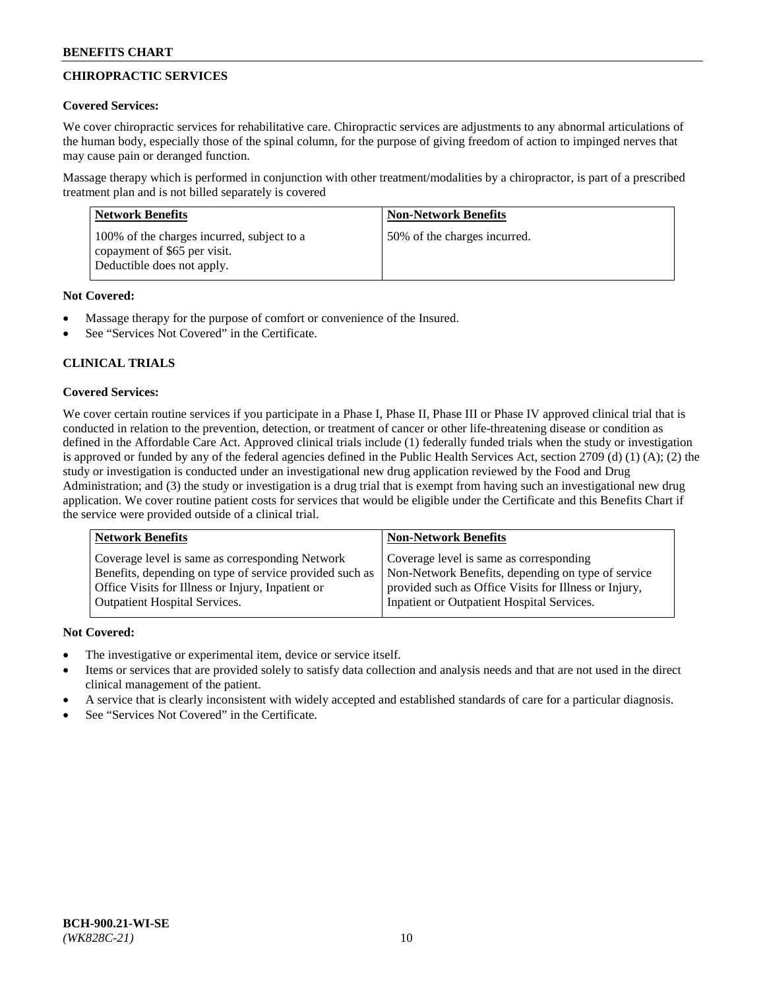# **CHIROPRACTIC SERVICES**

# **Covered Services:**

We cover chiropractic services for rehabilitative care. Chiropractic services are adjustments to any abnormal articulations of the human body, especially those of the spinal column, for the purpose of giving freedom of action to impinged nerves that may cause pain or deranged function.

Massage therapy which is performed in conjunction with other treatment/modalities by a chiropractor, is part of a prescribed treatment plan and is not billed separately is covered

| <b>Network Benefits</b>                                                                                  | <b>Non-Network Benefits</b>  |
|----------------------------------------------------------------------------------------------------------|------------------------------|
| 100% of the charges incurred, subject to a<br>copayment of \$65 per visit.<br>Deductible does not apply. | 50% of the charges incurred. |

# **Not Covered:**

- Massage therapy for the purpose of comfort or convenience of the Insured.
- See "Services Not Covered" in the Certificate.

# **CLINICAL TRIALS**

# **Covered Services:**

We cover certain routine services if you participate in a Phase I, Phase II, Phase III or Phase IV approved clinical trial that is conducted in relation to the prevention, detection, or treatment of cancer or other life-threatening disease or condition as defined in the Affordable Care Act. Approved clinical trials include (1) federally funded trials when the study or investigation is approved or funded by any of the federal agencies defined in the Public Health Services Act, section 2709 (d) (1) (A); (2) the study or investigation is conducted under an investigational new drug application reviewed by the Food and Drug Administration; and (3) the study or investigation is a drug trial that is exempt from having such an investigational new drug application. We cover routine patient costs for services that would be eligible under the Certificate and this Benefits Chart if the service were provided outside of a clinical trial.

| <b>Network Benefits</b>                                 | <b>Non-Network Benefits</b>                           |
|---------------------------------------------------------|-------------------------------------------------------|
| Coverage level is same as corresponding Network         | Coverage level is same as corresponding               |
| Benefits, depending on type of service provided such as | Non-Network Benefits, depending on type of service    |
| Office Visits for Illness or Injury, Inpatient or       | provided such as Office Visits for Illness or Injury, |
| Outpatient Hospital Services.                           | Inpatient or Outpatient Hospital Services.            |

# **Not Covered:**

- The investigative or experimental item, device or service itself.
- Items or services that are provided solely to satisfy data collection and analysis needs and that are not used in the direct clinical management of the patient.
- A service that is clearly inconsistent with widely accepted and established standards of care for a particular diagnosis.
- See "Services Not Covered" in the Certificate.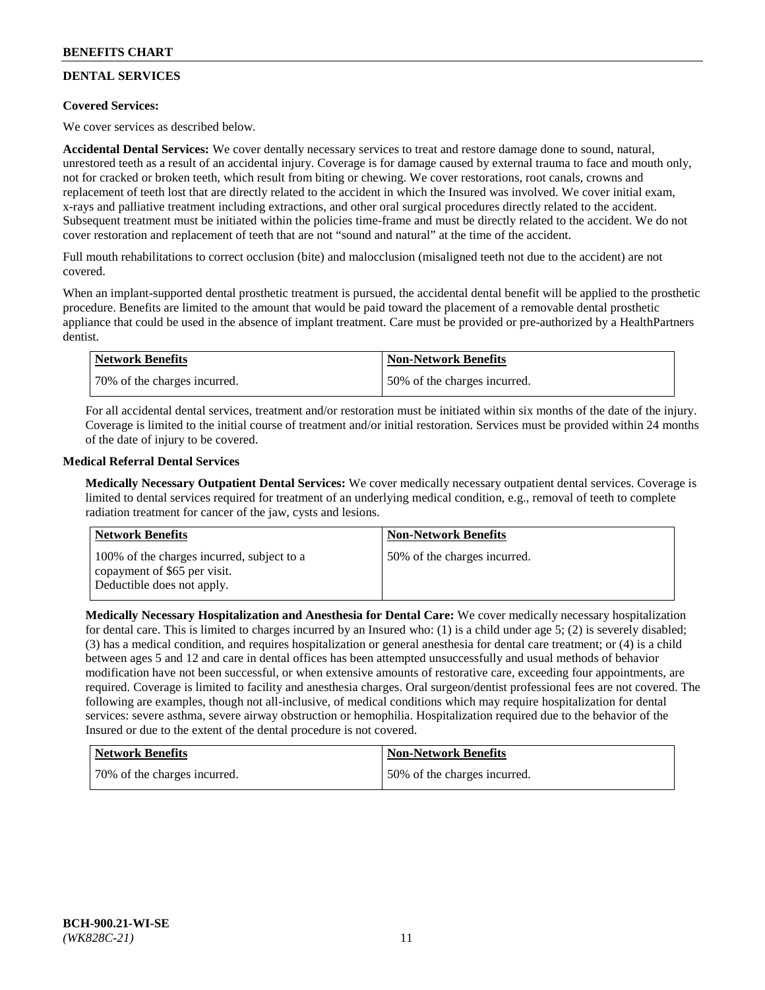# **DENTAL SERVICES**

## **Covered Services:**

We cover services as described below.

**Accidental Dental Services:** We cover dentally necessary services to treat and restore damage done to sound, natural, unrestored teeth as a result of an accidental injury. Coverage is for damage caused by external trauma to face and mouth only, not for cracked or broken teeth, which result from biting or chewing. We cover restorations, root canals, crowns and replacement of teeth lost that are directly related to the accident in which the Insured was involved. We cover initial exam, x-rays and palliative treatment including extractions, and other oral surgical procedures directly related to the accident. Subsequent treatment must be initiated within the policies time-frame and must be directly related to the accident. We do not cover restoration and replacement of teeth that are not "sound and natural" at the time of the accident.

Full mouth rehabilitations to correct occlusion (bite) and malocclusion (misaligned teeth not due to the accident) are not covered.

When an implant-supported dental prosthetic treatment is pursued, the accidental dental benefit will be applied to the prosthetic procedure. Benefits are limited to the amount that would be paid toward the placement of a removable dental prosthetic appliance that could be used in the absence of implant treatment. Care must be provided or pre-authorized by a HealthPartners dentist.

| <b>Network Benefits</b>      | <b>Non-Network Benefits</b>  |
|------------------------------|------------------------------|
| 70% of the charges incurred. | 50% of the charges incurred. |

For all accidental dental services, treatment and/or restoration must be initiated within six months of the date of the injury. Coverage is limited to the initial course of treatment and/or initial restoration. Services must be provided within 24 months of the date of injury to be covered.

## **Medical Referral Dental Services**

**Medically Necessary Outpatient Dental Services:** We cover medically necessary outpatient dental services. Coverage is limited to dental services required for treatment of an underlying medical condition, e.g., removal of teeth to complete radiation treatment for cancer of the jaw, cysts and lesions.

| Network Benefits                                                                                         | <b>Non-Network Benefits</b>  |
|----------------------------------------------------------------------------------------------------------|------------------------------|
| 100% of the charges incurred, subject to a<br>copayment of \$65 per visit.<br>Deductible does not apply. | 50% of the charges incurred. |

**Medically Necessary Hospitalization and Anesthesia for Dental Care:** We cover medically necessary hospitalization for dental care. This is limited to charges incurred by an Insured who: (1) is a child under age 5; (2) is severely disabled; (3) has a medical condition, and requires hospitalization or general anesthesia for dental care treatment; or (4) is a child between ages 5 and 12 and care in dental offices has been attempted unsuccessfully and usual methods of behavior modification have not been successful, or when extensive amounts of restorative care, exceeding four appointments, are required. Coverage is limited to facility and anesthesia charges. Oral surgeon/dentist professional fees are not covered. The following are examples, though not all-inclusive, of medical conditions which may require hospitalization for dental services: severe asthma, severe airway obstruction or hemophilia. Hospitalization required due to the behavior of the Insured or due to the extent of the dental procedure is not covered.

| Network Benefits             | Non-Network Benefits         |
|------------------------------|------------------------------|
| 70% of the charges incurred. | 50% of the charges incurred. |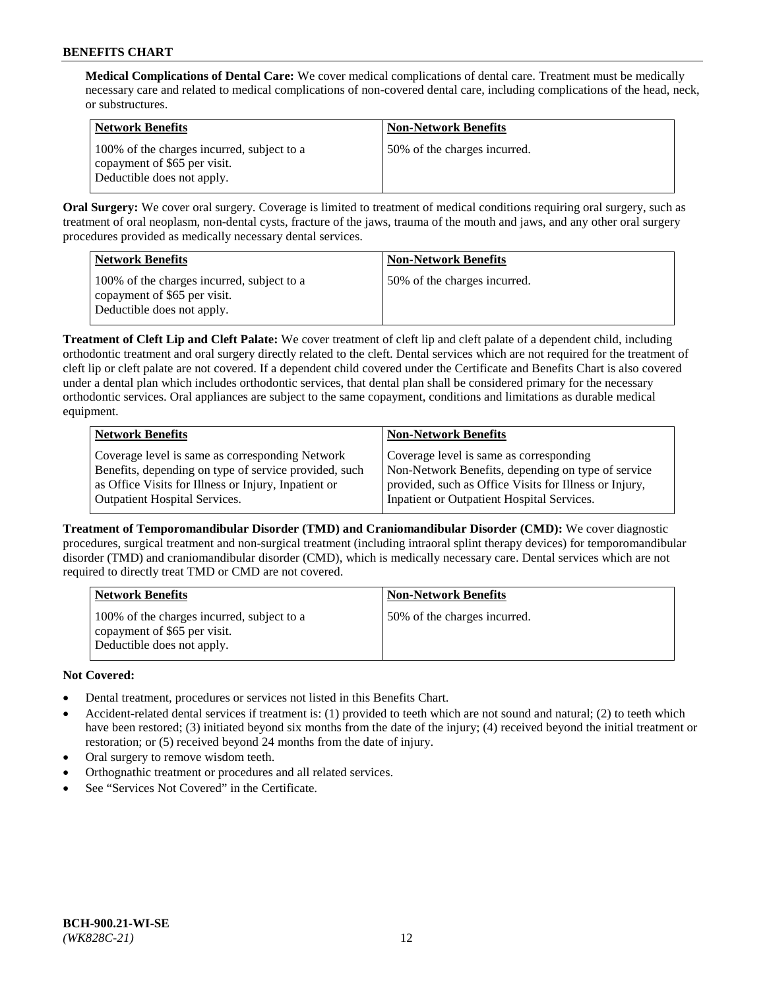**Medical Complications of Dental Care:** We cover medical complications of dental care. Treatment must be medically necessary care and related to medical complications of non-covered dental care, including complications of the head, neck, or substructures.

| <b>Network Benefits</b>                                                                                  | <b>Non-Network Benefits</b>  |
|----------------------------------------------------------------------------------------------------------|------------------------------|
| 100% of the charges incurred, subject to a<br>copayment of \$65 per visit.<br>Deductible does not apply. | 50% of the charges incurred. |

**Oral Surgery:** We cover oral surgery. Coverage is limited to treatment of medical conditions requiring oral surgery, such as treatment of oral neoplasm, non-dental cysts, fracture of the jaws, trauma of the mouth and jaws, and any other oral surgery procedures provided as medically necessary dental services.

| <b>Network Benefits</b>                                                                                  | <b>Non-Network Benefits</b>  |
|----------------------------------------------------------------------------------------------------------|------------------------------|
| 100% of the charges incurred, subject to a<br>copayment of \$65 per visit.<br>Deductible does not apply. | 50% of the charges incurred. |

**Treatment of Cleft Lip and Cleft Palate:** We cover treatment of cleft lip and cleft palate of a dependent child, including orthodontic treatment and oral surgery directly related to the cleft. Dental services which are not required for the treatment of cleft lip or cleft palate are not covered. If a dependent child covered under the Certificate and Benefits Chart is also covered under a dental plan which includes orthodontic services, that dental plan shall be considered primary for the necessary orthodontic services. Oral appliances are subject to the same copayment, conditions and limitations as durable medical equipment.

| <b>Network Benefits</b>                               | <b>Non-Network Benefits</b>                            |
|-------------------------------------------------------|--------------------------------------------------------|
| Coverage level is same as corresponding Network       | Coverage level is same as corresponding                |
| Benefits, depending on type of service provided, such | Non-Network Benefits, depending on type of service     |
| as Office Visits for Illness or Injury, Inpatient or  | provided, such as Office Visits for Illness or Injury, |
| Outpatient Hospital Services.                         | Inpatient or Outpatient Hospital Services.             |

**Treatment of Temporomandibular Disorder (TMD) and Craniomandibular Disorder (CMD):** We cover diagnostic procedures, surgical treatment and non-surgical treatment (including intraoral splint therapy devices) for temporomandibular disorder (TMD) and craniomandibular disorder (CMD), which is medically necessary care. Dental services which are not required to directly treat TMD or CMD are not covered.

| <b>Network Benefits</b>                                                                                  | <b>Non-Network Benefits</b>  |
|----------------------------------------------------------------------------------------------------------|------------------------------|
| 100% of the charges incurred, subject to a<br>copayment of \$65 per visit.<br>Deductible does not apply. | 50% of the charges incurred. |

# **Not Covered:**

- Dental treatment, procedures or services not listed in this Benefits Chart.
- Accident-related dental services if treatment is: (1) provided to teeth which are not sound and natural; (2) to teeth which have been restored; (3) initiated beyond six months from the date of the injury; (4) received beyond the initial treatment or restoration; or (5) received beyond 24 months from the date of injury.
- Oral surgery to remove wisdom teeth.
- Orthognathic treatment or procedures and all related services.
- See "Services Not Covered" in the Certificate.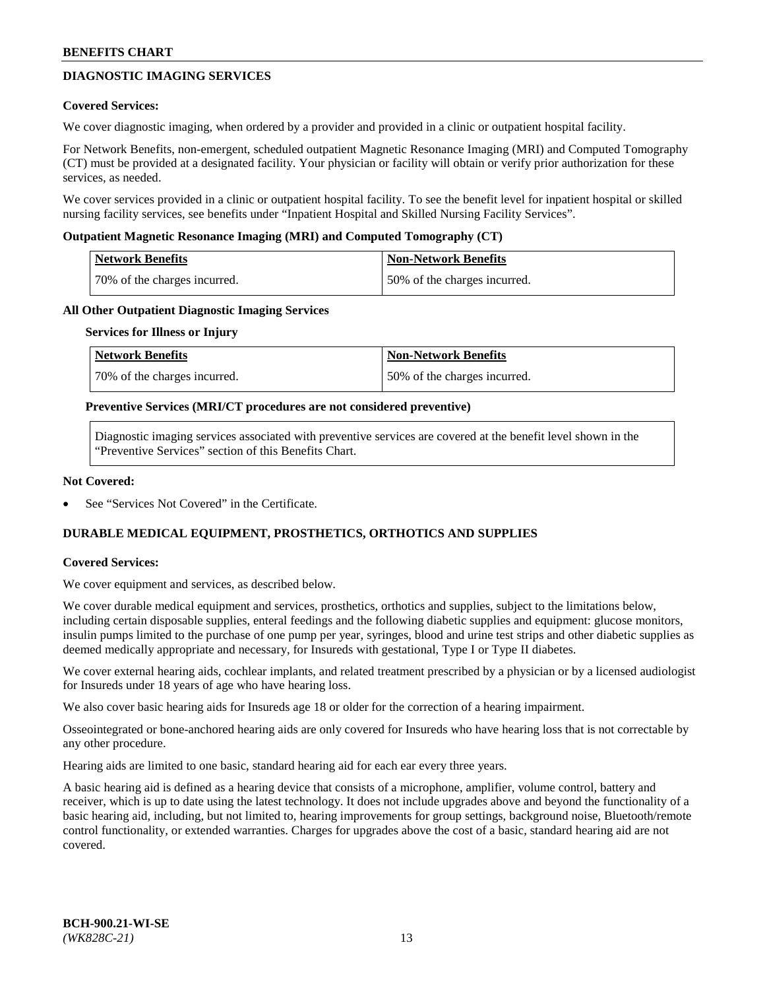# **DIAGNOSTIC IMAGING SERVICES**

### **Covered Services:**

We cover diagnostic imaging, when ordered by a provider and provided in a clinic or outpatient hospital facility.

For Network Benefits, non-emergent, scheduled outpatient Magnetic Resonance Imaging (MRI) and Computed Tomography (CT) must be provided at a designated facility. Your physician or facility will obtain or verify prior authorization for these services, as needed.

We cover services provided in a clinic or outpatient hospital facility. To see the benefit level for inpatient hospital or skilled nursing facility services, see benefits under "Inpatient Hospital and Skilled Nursing Facility Services".

### **Outpatient Magnetic Resonance Imaging (MRI) and Computed Tomography (CT)**

| <b>Network Benefits</b>      | <b>Non-Network Benefits</b>  |
|------------------------------|------------------------------|
| 70% of the charges incurred. | 50% of the charges incurred. |

### **All Other Outpatient Diagnostic Imaging Services**

#### **Services for Illness or Injury**

| Network Benefits             | <b>Non-Network Benefits</b>  |
|------------------------------|------------------------------|
| 70% of the charges incurred. | 50% of the charges incurred. |

### **Preventive Services (MRI/CT procedures are not considered preventive)**

Diagnostic imaging services associated with preventive services are covered at the benefit level shown in the "Preventive Services" section of this Benefits Chart.

### **Not Covered:**

See "Services Not Covered" in the Certificate.

# **DURABLE MEDICAL EQUIPMENT, PROSTHETICS, ORTHOTICS AND SUPPLIES**

#### **Covered Services:**

We cover equipment and services, as described below.

We cover durable medical equipment and services, prosthetics, orthotics and supplies, subject to the limitations below, including certain disposable supplies, enteral feedings and the following diabetic supplies and equipment: glucose monitors, insulin pumps limited to the purchase of one pump per year, syringes, blood and urine test strips and other diabetic supplies as deemed medically appropriate and necessary, for Insureds with gestational, Type I or Type II diabetes.

We cover external hearing aids, cochlear implants, and related treatment prescribed by a physician or by a licensed audiologist for Insureds under 18 years of age who have hearing loss.

We also cover basic hearing aids for Insureds age 18 or older for the correction of a hearing impairment.

Osseointegrated or bone-anchored hearing aids are only covered for Insureds who have hearing loss that is not correctable by any other procedure.

Hearing aids are limited to one basic, standard hearing aid for each ear every three years.

A basic hearing aid is defined as a hearing device that consists of a microphone, amplifier, volume control, battery and receiver, which is up to date using the latest technology. It does not include upgrades above and beyond the functionality of a basic hearing aid, including, but not limited to, hearing improvements for group settings, background noise, Bluetooth/remote control functionality, or extended warranties. Charges for upgrades above the cost of a basic, standard hearing aid are not covered.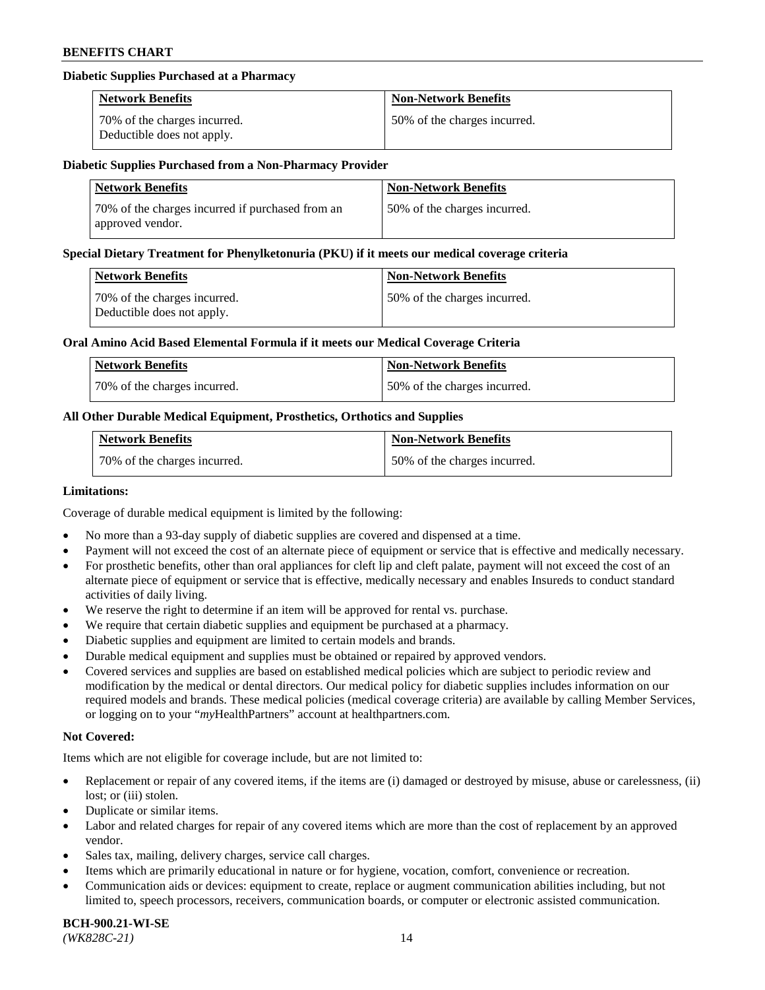### **Diabetic Supplies Purchased at a Pharmacy**

| <b>Network Benefits</b>                                    | <b>Non-Network Benefits</b>  |
|------------------------------------------------------------|------------------------------|
| 70% of the charges incurred.<br>Deductible does not apply. | 50% of the charges incurred. |

#### **Diabetic Supplies Purchased from a Non-Pharmacy Provider**

| <b>Network Benefits</b>                                              | <b>Non-Network Benefits</b>  |
|----------------------------------------------------------------------|------------------------------|
| 70% of the charges incurred if purchased from an<br>approved vendor. | 50% of the charges incurred. |

#### **Special Dietary Treatment for Phenylketonuria (PKU) if it meets our medical coverage criteria**

| Network Benefits                                           | <b>Non-Network Benefits</b>  |
|------------------------------------------------------------|------------------------------|
| 70% of the charges incurred.<br>Deductible does not apply. | 50% of the charges incurred. |

### **Oral Amino Acid Based Elemental Formula if it meets our Medical Coverage Criteria**

| Network Benefits             | <b>Non-Network Benefits</b>  |
|------------------------------|------------------------------|
| 70% of the charges incurred. | 50% of the charges incurred. |

## **All Other Durable Medical Equipment, Prosthetics, Orthotics and Supplies**

| <b>Network Benefits</b>      | <b>Non-Network Benefits</b>  |
|------------------------------|------------------------------|
| 70% of the charges incurred. | 50% of the charges incurred. |

#### **Limitations:**

Coverage of durable medical equipment is limited by the following:

- No more than a 93-day supply of diabetic supplies are covered and dispensed at a time.
- Payment will not exceed the cost of an alternate piece of equipment or service that is effective and medically necessary.
- For prosthetic benefits, other than oral appliances for cleft lip and cleft palate, payment will not exceed the cost of an alternate piece of equipment or service that is effective, medically necessary and enables Insureds to conduct standard
- activities of daily living. We reserve the right to determine if an item will be approved for rental vs. purchase.
- We require that certain diabetic supplies and equipment be purchased at a pharmacy.
- Diabetic supplies and equipment are limited to certain models and brands.
- Durable medical equipment and supplies must be obtained or repaired by approved vendors.
- Covered services and supplies are based on established medical policies which are subject to periodic review and modification by the medical or dental directors. Our medical policy for diabetic supplies includes information on our required models and brands. These medical policies (medical coverage criteria) are available by calling Member Services, or logging on to your "*my*HealthPartners" account a[t healthpartners.com.](https://www.healthpartners.com/hp/index.html)

# **Not Covered:**

Items which are not eligible for coverage include, but are not limited to:

- Replacement or repair of any covered items, if the items are (i) damaged or destroyed by misuse, abuse or carelessness, (ii) lost; or (iii) stolen.
- Duplicate or similar items.
- Labor and related charges for repair of any covered items which are more than the cost of replacement by an approved vendor.
- Sales tax, mailing, delivery charges, service call charges.
- Items which are primarily educational in nature or for hygiene, vocation, comfort, convenience or recreation.
- Communication aids or devices: equipment to create, replace or augment communication abilities including, but not limited to, speech processors, receivers, communication boards, or computer or electronic assisted communication.

#### **BCH-900.21-WI-SE**  *(WK828C-21)* 14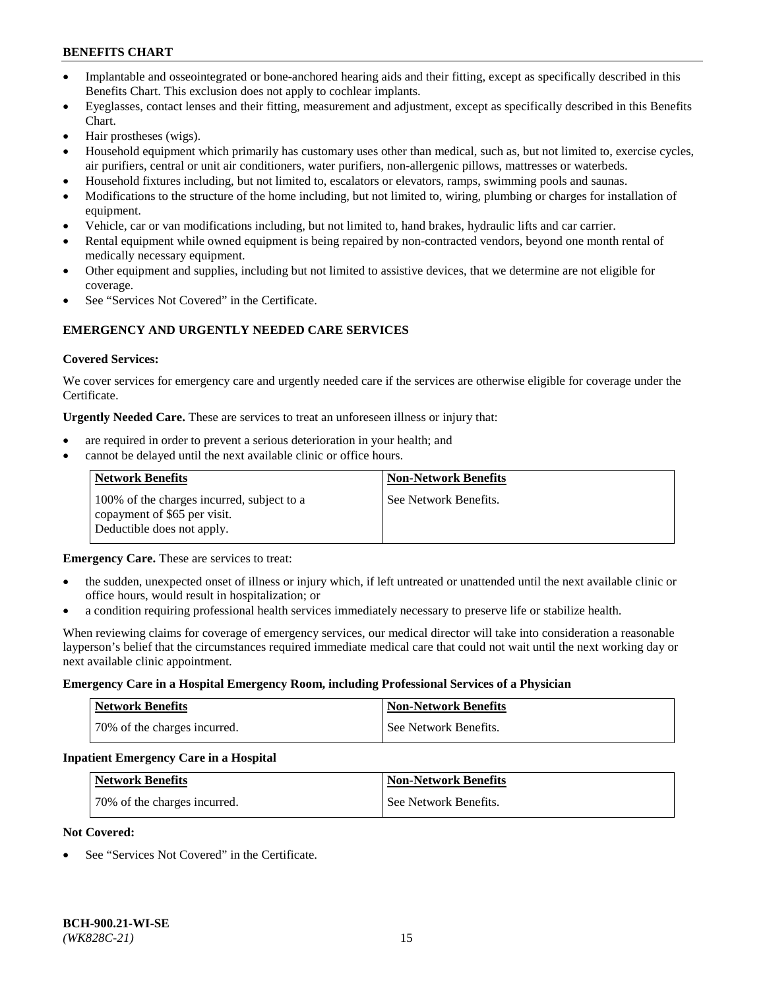- Implantable and osseointegrated or bone-anchored hearing aids and their fitting, except as specifically described in this Benefits Chart. This exclusion does not apply to cochlear implants.
- Eyeglasses, contact lenses and their fitting, measurement and adjustment, except as specifically described in this Benefits Chart.
- Hair prostheses (wigs).
- Household equipment which primarily has customary uses other than medical, such as, but not limited to, exercise cycles, air purifiers, central or unit air conditioners, water purifiers, non-allergenic pillows, mattresses or waterbeds.
- Household fixtures including, but not limited to, escalators or elevators, ramps, swimming pools and saunas.
- Modifications to the structure of the home including, but not limited to, wiring, plumbing or charges for installation of equipment.
- Vehicle, car or van modifications including, but not limited to, hand brakes, hydraulic lifts and car carrier.
- Rental equipment while owned equipment is being repaired by non-contracted vendors, beyond one month rental of medically necessary equipment.
- Other equipment and supplies, including but not limited to assistive devices, that we determine are not eligible for coverage.
- See "Services Not Covered" in the Certificate.

# **EMERGENCY AND URGENTLY NEEDED CARE SERVICES**

### **Covered Services:**

We cover services for emergency care and urgently needed care if the services are otherwise eligible for coverage under the Certificate.

**Urgently Needed Care.** These are services to treat an unforeseen illness or injury that:

- are required in order to prevent a serious deterioration in your health; and
- cannot be delayed until the next available clinic or office hours.

| <b>Network Benefits</b>                                                                                  | <b>Non-Network Benefits</b> |
|----------------------------------------------------------------------------------------------------------|-----------------------------|
| 100% of the charges incurred, subject to a<br>copayment of \$65 per visit.<br>Deductible does not apply. | See Network Benefits.       |

**Emergency Care.** These are services to treat:

- the sudden, unexpected onset of illness or injury which, if left untreated or unattended until the next available clinic or office hours, would result in hospitalization; or
- a condition requiring professional health services immediately necessary to preserve life or stabilize health.

When reviewing claims for coverage of emergency services, our medical director will take into consideration a reasonable layperson's belief that the circumstances required immediate medical care that could not wait until the next working day or next available clinic appointment.

#### **Emergency Care in a Hospital Emergency Room, including Professional Services of a Physician**

| <b>Network Benefits</b>      | <b>Non-Network Benefits</b> |
|------------------------------|-----------------------------|
| 70% of the charges incurred. | See Network Benefits.       |

#### **Inpatient Emergency Care in a Hospital**

| <b>Network Benefits</b>      | <b>Non-Network Benefits</b> |
|------------------------------|-----------------------------|
| 70% of the charges incurred. | See Network Benefits.       |

#### **Not Covered:**

See "Services Not Covered" in the Certificate.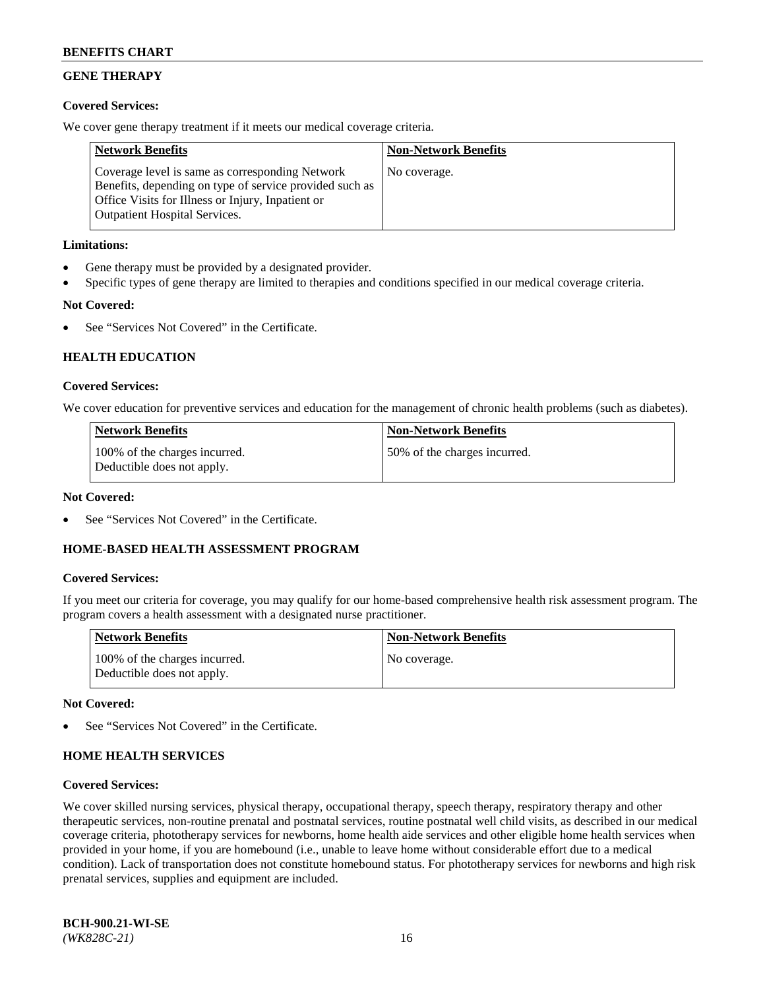# **GENE THERAPY**

# **Covered Services:**

We cover gene therapy treatment if it meets our medical coverage criteria.

| <b>Network Benefits</b>                                                                                                                                                                                 | <b>Non-Network Benefits</b> |
|---------------------------------------------------------------------------------------------------------------------------------------------------------------------------------------------------------|-----------------------------|
| Coverage level is same as corresponding Network<br>Benefits, depending on type of service provided such as<br>Office Visits for Illness or Injury, Inpatient or<br><b>Outpatient Hospital Services.</b> | No coverage.                |

# **Limitations:**

- Gene therapy must be provided by a designated provider.
- Specific types of gene therapy are limited to therapies and conditions specified in our medical coverage criteria.

# **Not Covered:**

See "Services Not Covered" in the Certificate.

# **HEALTH EDUCATION**

## **Covered Services:**

We cover education for preventive services and education for the management of chronic health problems (such as diabetes).

| <b>Network Benefits</b>                                     | <b>Non-Network Benefits</b>   |
|-------------------------------------------------------------|-------------------------------|
| 100% of the charges incurred.<br>Deductible does not apply. | 150% of the charges incurred. |

### **Not Covered:**

See "Services Not Covered" in the Certificate.

## **HOME-BASED HEALTH ASSESSMENT PROGRAM**

## **Covered Services:**

If you meet our criteria for coverage, you may qualify for our home-based comprehensive health risk assessment program. The program covers a health assessment with a designated nurse practitioner.

| <b>Network Benefits</b>                                     | <b>Non-Network Benefits</b> |
|-------------------------------------------------------------|-----------------------------|
| 100% of the charges incurred.<br>Deductible does not apply. | No coverage.                |

## **Not Covered:**

See "Services Not Covered" in the Certificate.

## **HOME HEALTH SERVICES**

## **Covered Services:**

We cover skilled nursing services, physical therapy, occupational therapy, speech therapy, respiratory therapy and other therapeutic services, non-routine prenatal and postnatal services, routine postnatal well child visits, as described in our medical coverage criteria, phototherapy services for newborns, home health aide services and other eligible home health services when provided in your home, if you are homebound (i.e., unable to leave home without considerable effort due to a medical condition). Lack of transportation does not constitute homebound status. For phototherapy services for newborns and high risk prenatal services, supplies and equipment are included.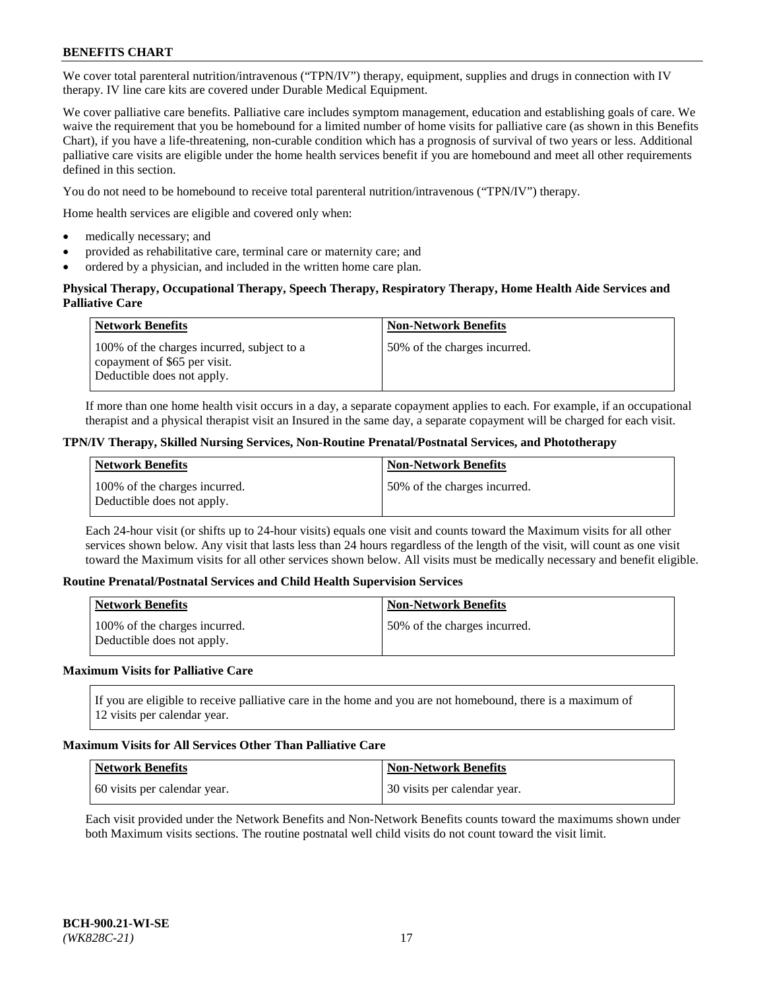We cover total parenteral nutrition/intravenous ("TPN/IV") therapy, equipment, supplies and drugs in connection with IV therapy. IV line care kits are covered under Durable Medical Equipment.

We cover palliative care benefits. Palliative care includes symptom management, education and establishing goals of care. We waive the requirement that you be homebound for a limited number of home visits for palliative care (as shown in this Benefits Chart), if you have a life-threatening, non-curable condition which has a prognosis of survival of two years or less. Additional palliative care visits are eligible under the home health services benefit if you are homebound and meet all other requirements defined in this section.

You do not need to be homebound to receive total parenteral nutrition/intravenous ("TPN/IV") therapy.

Home health services are eligible and covered only when:

- medically necessary; and
- provided as rehabilitative care, terminal care or maternity care; and
- ordered by a physician, and included in the written home care plan.

### **Physical Therapy, Occupational Therapy, Speech Therapy, Respiratory Therapy, Home Health Aide Services and Palliative Care**

| <b>Network Benefits</b>                                                                                  | <b>Non-Network Benefits</b>  |
|----------------------------------------------------------------------------------------------------------|------------------------------|
| 100% of the charges incurred, subject to a<br>copayment of \$65 per visit.<br>Deductible does not apply. | 50% of the charges incurred. |

If more than one home health visit occurs in a day, a separate copayment applies to each. For example, if an occupational therapist and a physical therapist visit an Insured in the same day, a separate copayment will be charged for each visit.

### **TPN/IV Therapy, Skilled Nursing Services, Non-Routine Prenatal/Postnatal Services, and Phototherapy**

| Network Benefits                                            | <b>Non-Network Benefits</b>  |
|-------------------------------------------------------------|------------------------------|
| 100% of the charges incurred.<br>Deductible does not apply. | 50% of the charges incurred. |

Each 24-hour visit (or shifts up to 24-hour visits) equals one visit and counts toward the Maximum visits for all other services shown below. Any visit that lasts less than 24 hours regardless of the length of the visit, will count as one visit toward the Maximum visits for all other services shown below. All visits must be medically necessary and benefit eligible.

#### **Routine Prenatal/Postnatal Services and Child Health Supervision Services**

| <b>Network Benefits</b>                                     | <b>Non-Network Benefits</b>   |
|-------------------------------------------------------------|-------------------------------|
| 100% of the charges incurred.<br>Deductible does not apply. | 150% of the charges incurred. |

## **Maximum Visits for Palliative Care**

If you are eligible to receive palliative care in the home and you are not homebound, there is a maximum of 12 visits per calendar year.

#### **Maximum Visits for All Services Other Than Palliative Care**

| Network Benefits             | <b>Non-Network Benefits</b>  |
|------------------------------|------------------------------|
| 60 visits per calendar year. | 30 visits per calendar year. |

Each visit provided under the Network Benefits and Non-Network Benefits counts toward the maximums shown under both Maximum visits sections. The routine postnatal well child visits do not count toward the visit limit.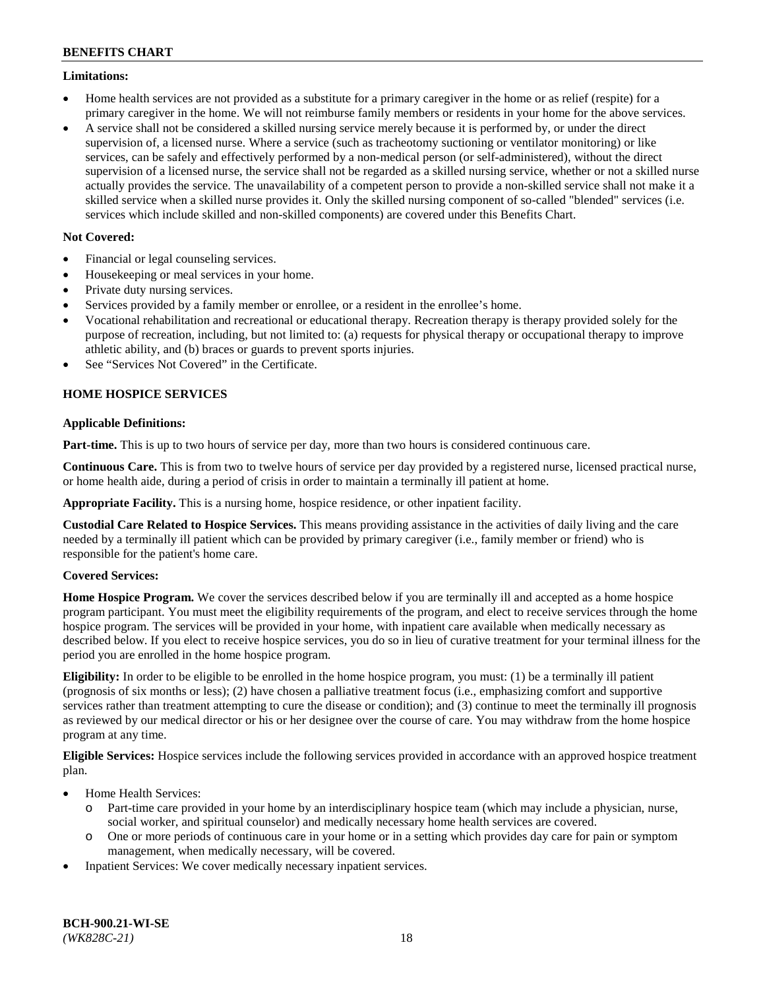### **Limitations:**

- Home health services are not provided as a substitute for a primary caregiver in the home or as relief (respite) for a primary caregiver in the home. We will not reimburse family members or residents in your home for the above services.
- A service shall not be considered a skilled nursing service merely because it is performed by, or under the direct supervision of, a licensed nurse. Where a service (such as tracheotomy suctioning or ventilator monitoring) or like services, can be safely and effectively performed by a non-medical person (or self-administered), without the direct supervision of a licensed nurse, the service shall not be regarded as a skilled nursing service, whether or not a skilled nurse actually provides the service. The unavailability of a competent person to provide a non-skilled service shall not make it a skilled service when a skilled nurse provides it. Only the skilled nursing component of so-called "blended" services (i.e. services which include skilled and non-skilled components) are covered under this Benefits Chart.

# **Not Covered:**

- Financial or legal counseling services.
- Housekeeping or meal services in your home.
- Private duty nursing services.
- Services provided by a family member or enrollee, or a resident in the enrollee's home.
- Vocational rehabilitation and recreational or educational therapy. Recreation therapy is therapy provided solely for the purpose of recreation, including, but not limited to: (a) requests for physical therapy or occupational therapy to improve athletic ability, and (b) braces or guards to prevent sports injuries.
- See "Services Not Covered" in the Certificate.

# **HOME HOSPICE SERVICES**

## **Applicable Definitions:**

**Part-time.** This is up to two hours of service per day, more than two hours is considered continuous care.

**Continuous Care.** This is from two to twelve hours of service per day provided by a registered nurse, licensed practical nurse, or home health aide, during a period of crisis in order to maintain a terminally ill patient at home.

**Appropriate Facility.** This is a nursing home, hospice residence, or other inpatient facility.

**Custodial Care Related to Hospice Services.** This means providing assistance in the activities of daily living and the care needed by a terminally ill patient which can be provided by primary caregiver (i.e., family member or friend) who is responsible for the patient's home care.

## **Covered Services:**

**Home Hospice Program.** We cover the services described below if you are terminally ill and accepted as a home hospice program participant. You must meet the eligibility requirements of the program, and elect to receive services through the home hospice program. The services will be provided in your home, with inpatient care available when medically necessary as described below. If you elect to receive hospice services, you do so in lieu of curative treatment for your terminal illness for the period you are enrolled in the home hospice program.

**Eligibility:** In order to be eligible to be enrolled in the home hospice program, you must: (1) be a terminally ill patient (prognosis of six months or less); (2) have chosen a palliative treatment focus (i.e., emphasizing comfort and supportive services rather than treatment attempting to cure the disease or condition); and (3) continue to meet the terminally ill prognosis as reviewed by our medical director or his or her designee over the course of care. You may withdraw from the home hospice program at any time.

**Eligible Services:** Hospice services include the following services provided in accordance with an approved hospice treatment plan.

- Home Health Services:
	- o Part-time care provided in your home by an interdisciplinary hospice team (which may include a physician, nurse, social worker, and spiritual counselor) and medically necessary home health services are covered.
	- o One or more periods of continuous care in your home or in a setting which provides day care for pain or symptom management, when medically necessary, will be covered.
- Inpatient Services: We cover medically necessary inpatient services.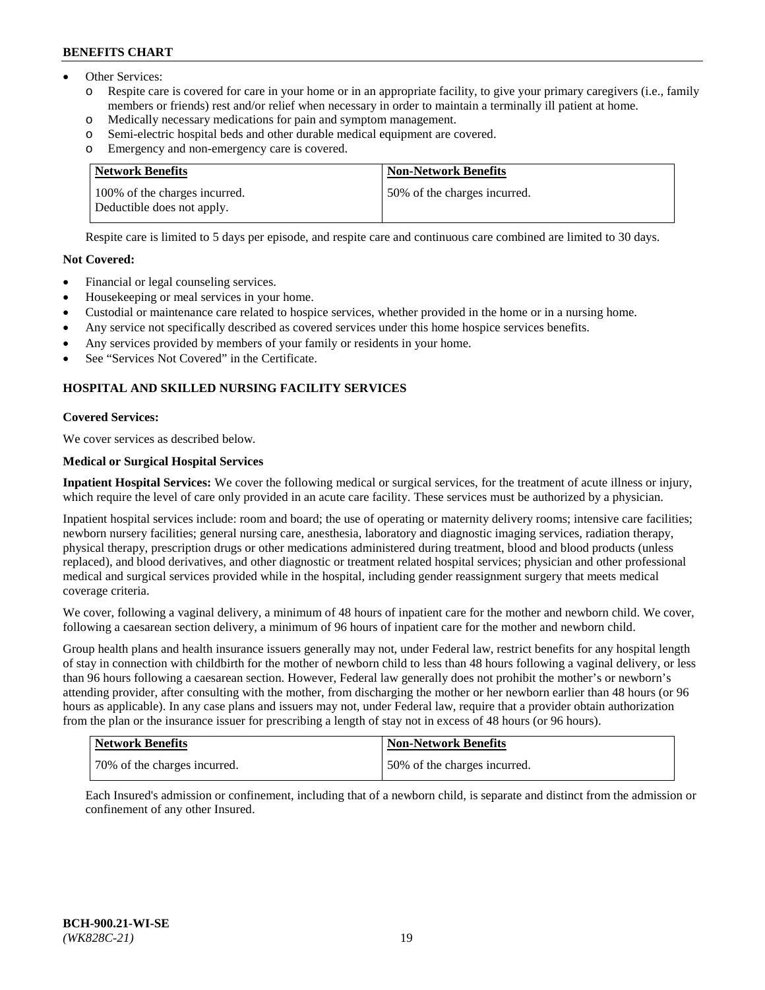- Other Services:
	- Respite care is covered for care in your home or in an appropriate facility, to give your primary caregivers (i.e., family members or friends) rest and/or relief when necessary in order to maintain a terminally ill patient at home.
	- o Medically necessary medications for pain and symptom management.
	- o Semi-electric hospital beds and other durable medical equipment are covered.
	- Emergency and non-emergency care is covered.

| Network Benefits                                            | <b>Non-Network Benefits</b>  |
|-------------------------------------------------------------|------------------------------|
| 100% of the charges incurred.<br>Deductible does not apply. | 50% of the charges incurred. |

Respite care is limited to 5 days per episode, and respite care and continuous care combined are limited to 30 days.

### **Not Covered:**

- Financial or legal counseling services.
- Housekeeping or meal services in your home.
- Custodial or maintenance care related to hospice services, whether provided in the home or in a nursing home.
- Any service not specifically described as covered services under this home hospice services benefits.
- Any services provided by members of your family or residents in your home.
- See "Services Not Covered" in the Certificate.

# **HOSPITAL AND SKILLED NURSING FACILITY SERVICES**

#### **Covered Services:**

We cover services as described below.

## **Medical or Surgical Hospital Services**

**Inpatient Hospital Services:** We cover the following medical or surgical services, for the treatment of acute illness or injury, which require the level of care only provided in an acute care facility. These services must be authorized by a physician.

Inpatient hospital services include: room and board; the use of operating or maternity delivery rooms; intensive care facilities; newborn nursery facilities; general nursing care, anesthesia, laboratory and diagnostic imaging services, radiation therapy, physical therapy, prescription drugs or other medications administered during treatment, blood and blood products (unless replaced), and blood derivatives, and other diagnostic or treatment related hospital services; physician and other professional medical and surgical services provided while in the hospital, including gender reassignment surgery that meets medical coverage criteria.

We cover, following a vaginal delivery, a minimum of 48 hours of inpatient care for the mother and newborn child. We cover, following a caesarean section delivery, a minimum of 96 hours of inpatient care for the mother and newborn child.

Group health plans and health insurance issuers generally may not, under Federal law, restrict benefits for any hospital length of stay in connection with childbirth for the mother of newborn child to less than 48 hours following a vaginal delivery, or less than 96 hours following a caesarean section. However, Federal law generally does not prohibit the mother's or newborn's attending provider, after consulting with the mother, from discharging the mother or her newborn earlier than 48 hours (or 96 hours as applicable). In any case plans and issuers may not, under Federal law, require that a provider obtain authorization from the plan or the insurance issuer for prescribing a length of stay not in excess of 48 hours (or 96 hours).

| Network Benefits             | Non-Network Benefits         |
|------------------------------|------------------------------|
| 70% of the charges incurred. | 50% of the charges incurred. |

Each Insured's admission or confinement, including that of a newborn child, is separate and distinct from the admission or confinement of any other Insured.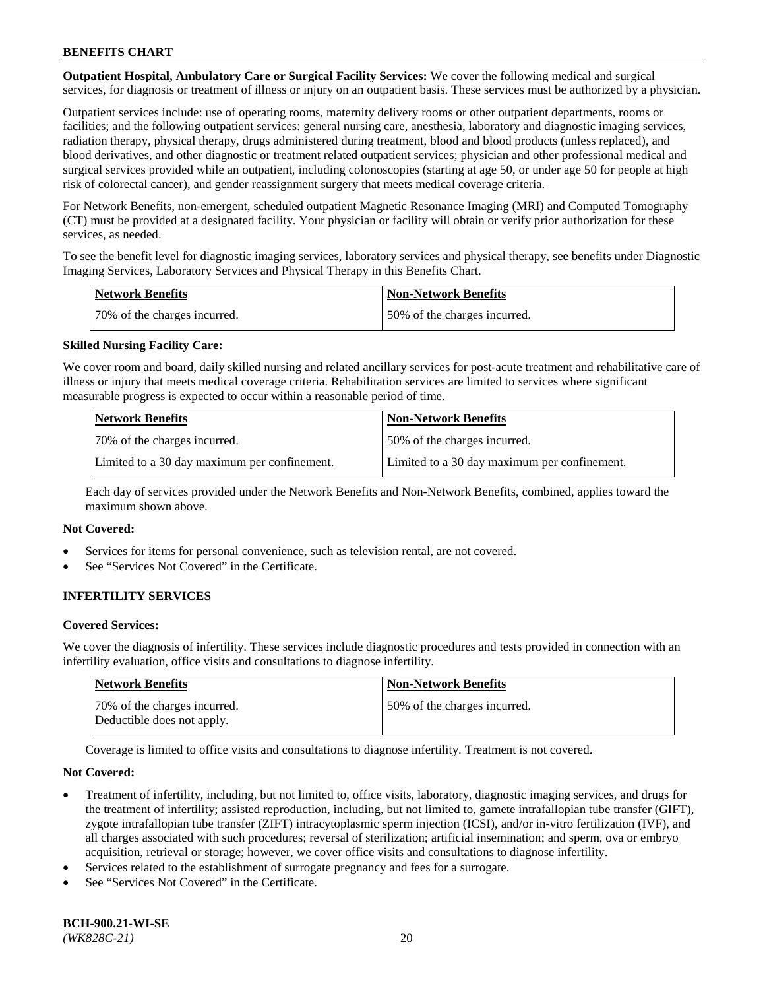**Outpatient Hospital, Ambulatory Care or Surgical Facility Services:** We cover the following medical and surgical services, for diagnosis or treatment of illness or injury on an outpatient basis. These services must be authorized by a physician.

Outpatient services include: use of operating rooms, maternity delivery rooms or other outpatient departments, rooms or facilities; and the following outpatient services: general nursing care, anesthesia, laboratory and diagnostic imaging services, radiation therapy, physical therapy, drugs administered during treatment, blood and blood products (unless replaced), and blood derivatives, and other diagnostic or treatment related outpatient services; physician and other professional medical and surgical services provided while an outpatient, including colonoscopies (starting at age 50, or under age 50 for people at high risk of colorectal cancer), and gender reassignment surgery that meets medical coverage criteria.

For Network Benefits, non-emergent, scheduled outpatient Magnetic Resonance Imaging (MRI) and Computed Tomography (CT) must be provided at a designated facility. Your physician or facility will obtain or verify prior authorization for these services, as needed.

To see the benefit level for diagnostic imaging services, laboratory services and physical therapy, see benefits under Diagnostic Imaging Services, Laboratory Services and Physical Therapy in this Benefits Chart.

| <b>Network Benefits</b>      | <b>Non-Network Benefits</b>  |
|------------------------------|------------------------------|
| 70% of the charges incurred. | 50% of the charges incurred. |

## **Skilled Nursing Facility Care:**

We cover room and board, daily skilled nursing and related ancillary services for post-acute treatment and rehabilitative care of illness or injury that meets medical coverage criteria. Rehabilitation services are limited to services where significant measurable progress is expected to occur within a reasonable period of time.

| <b>Network Benefits</b>                      | <b>Non-Network Benefits</b>                  |
|----------------------------------------------|----------------------------------------------|
| 70\% of the charges incurred.                | 150% of the charges incurred.                |
| Limited to a 30 day maximum per confinement. | Limited to a 30 day maximum per confinement. |

Each day of services provided under the Network Benefits and Non-Network Benefits, combined, applies toward the maximum shown above.

#### **Not Covered:**

- Services for items for personal convenience, such as television rental, are not covered.
- See "Services Not Covered" in the Certificate.

# **INFERTILITY SERVICES**

#### **Covered Services:**

We cover the diagnosis of infertility. These services include diagnostic procedures and tests provided in connection with an infertility evaluation, office visits and consultations to diagnose infertility.

| <b>Network Benefits</b>                                    | Non-Network Benefits         |
|------------------------------------------------------------|------------------------------|
| 70% of the charges incurred.<br>Deductible does not apply. | 50% of the charges incurred. |

Coverage is limited to office visits and consultations to diagnose infertility. Treatment is not covered.

#### **Not Covered:**

- Treatment of infertility, including, but not limited to, office visits, laboratory, diagnostic imaging services, and drugs for the treatment of infertility; assisted reproduction, including, but not limited to, gamete intrafallopian tube transfer (GIFT), zygote intrafallopian tube transfer (ZIFT) intracytoplasmic sperm injection (ICSI), and/or in-vitro fertilization (IVF), and all charges associated with such procedures; reversal of sterilization; artificial insemination; and sperm, ova or embryo acquisition, retrieval or storage; however, we cover office visits and consultations to diagnose infertility.
- Services related to the establishment of surrogate pregnancy and fees for a surrogate.
- See "Services Not Covered" in the Certificate.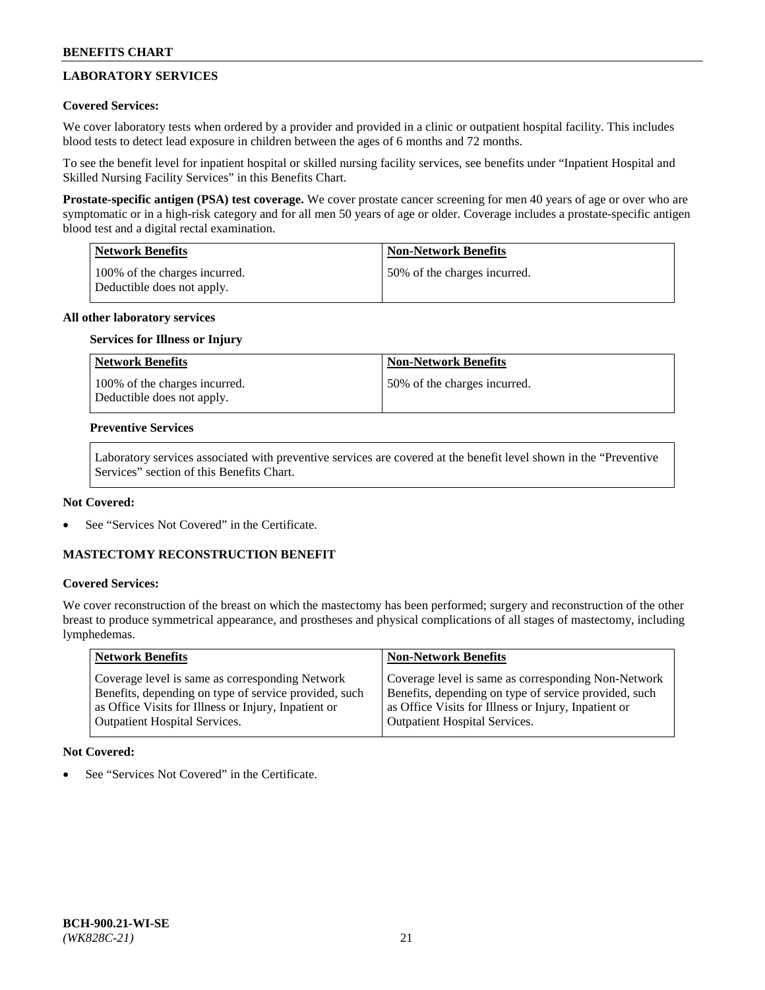# **LABORATORY SERVICES**

## **Covered Services:**

We cover laboratory tests when ordered by a provider and provided in a clinic or outpatient hospital facility. This includes blood tests to detect lead exposure in children between the ages of 6 months and 72 months.

To see the benefit level for inpatient hospital or skilled nursing facility services, see benefits under "Inpatient Hospital and Skilled Nursing Facility Services" in this Benefits Chart.

**Prostate-specific antigen (PSA) test coverage.** We cover prostate cancer screening for men 40 years of age or over who are symptomatic or in a high-risk category and for all men 50 years of age or older. Coverage includes a prostate-specific antigen blood test and a digital rectal examination.

| Network Benefits                                            | <b>Non-Network Benefits</b>  |
|-------------------------------------------------------------|------------------------------|
| 100% of the charges incurred.<br>Deductible does not apply. | 50% of the charges incurred. |

# **All other laboratory services**

### **Services for Illness or Injury**

| <b>Network Benefits</b>                                     | <b>Non-Network Benefits</b>  |
|-------------------------------------------------------------|------------------------------|
| 100% of the charges incurred.<br>Deductible does not apply. | 50% of the charges incurred. |

### **Preventive Services**

Laboratory services associated with preventive services are covered at the benefit level shown in the "Preventive Services" section of this Benefits Chart.

### **Not Covered:**

See "Services Not Covered" in the Certificate.

## **MASTECTOMY RECONSTRUCTION BENEFIT**

## **Covered Services:**

We cover reconstruction of the breast on which the mastectomy has been performed; surgery and reconstruction of the other breast to produce symmetrical appearance, and prostheses and physical complications of all stages of mastectomy, including lymphedemas.

| <b>Network Benefits</b>                               | <b>Non-Network Benefits</b>                           |
|-------------------------------------------------------|-------------------------------------------------------|
| Coverage level is same as corresponding Network       | Coverage level is same as corresponding Non-Network   |
| Benefits, depending on type of service provided, such | Benefits, depending on type of service provided, such |
| as Office Visits for Illness or Injury, Inpatient or  | as Office Visits for Illness or Injury, Inpatient or  |
| <b>Outpatient Hospital Services.</b>                  | Outpatient Hospital Services.                         |

## **Not Covered:**

See "Services Not Covered" in the Certificate.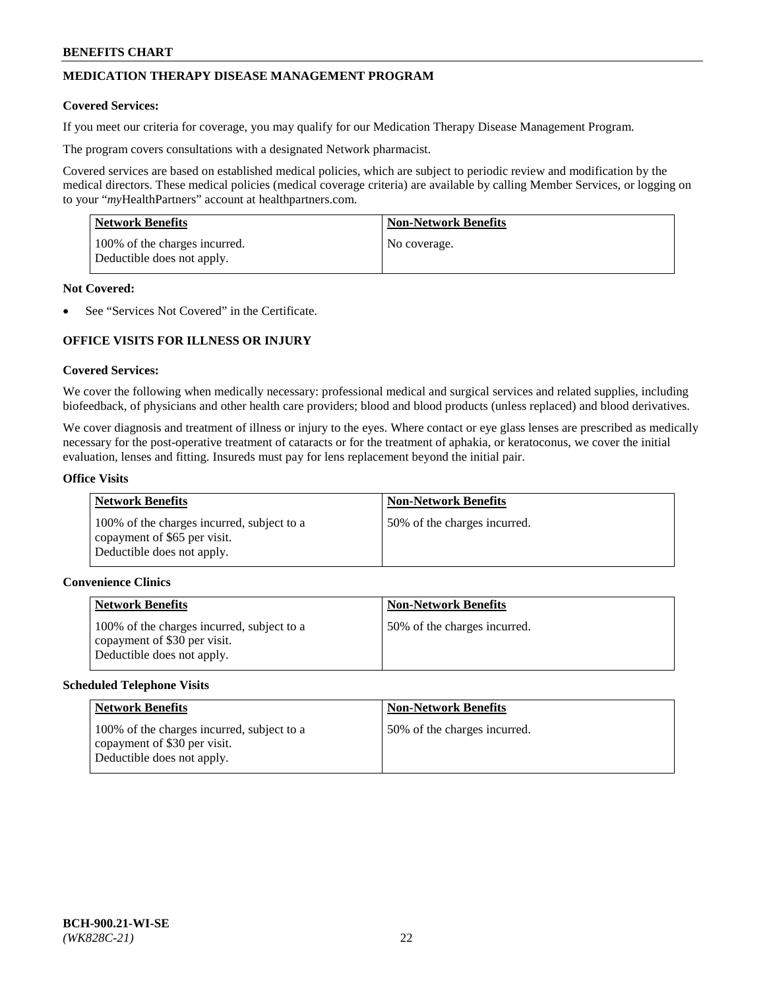# **MEDICATION THERAPY DISEASE MANAGEMENT PROGRAM**

### **Covered Services:**

If you meet our criteria for coverage, you may qualify for our Medication Therapy Disease Management Program.

The program covers consultations with a designated Network pharmacist.

Covered services are based on established medical policies, which are subject to periodic review and modification by the medical directors. These medical policies (medical coverage criteria) are available by calling Member Services, or logging on to your "*my*HealthPartners" account at [healthpartners.com.](http://www.healthpartners.com/)

| Network Benefits                                            | <b>Non-Network Benefits</b> |
|-------------------------------------------------------------|-----------------------------|
| 100% of the charges incurred.<br>Deductible does not apply. | No coverage.                |

### **Not Covered:**

See "Services Not Covered" in the Certificate.

# **OFFICE VISITS FOR ILLNESS OR INJURY**

### **Covered Services:**

We cover the following when medically necessary: professional medical and surgical services and related supplies, including biofeedback, of physicians and other health care providers; blood and blood products (unless replaced) and blood derivatives.

We cover diagnosis and treatment of illness or injury to the eyes. Where contact or eye glass lenses are prescribed as medically necessary for the post-operative treatment of cataracts or for the treatment of aphakia, or keratoconus, we cover the initial evaluation, lenses and fitting. Insureds must pay for lens replacement beyond the initial pair.

#### **Office Visits**

| <b>Network Benefits</b>                                                                                  | <b>Non-Network Benefits</b>  |
|----------------------------------------------------------------------------------------------------------|------------------------------|
| 100% of the charges incurred, subject to a<br>copayment of \$65 per visit.<br>Deductible does not apply. | 50% of the charges incurred. |

#### **Convenience Clinics**

| <b>Network Benefits</b>                                                                                  | <b>Non-Network Benefits</b>  |
|----------------------------------------------------------------------------------------------------------|------------------------------|
| 100% of the charges incurred, subject to a<br>copayment of \$30 per visit.<br>Deductible does not apply. | 50% of the charges incurred. |

#### **Scheduled Telephone Visits**

| <b>Network Benefits</b>                                                                                  | <b>Non-Network Benefits</b>  |
|----------------------------------------------------------------------------------------------------------|------------------------------|
| 100% of the charges incurred, subject to a<br>copayment of \$30 per visit.<br>Deductible does not apply. | 50% of the charges incurred. |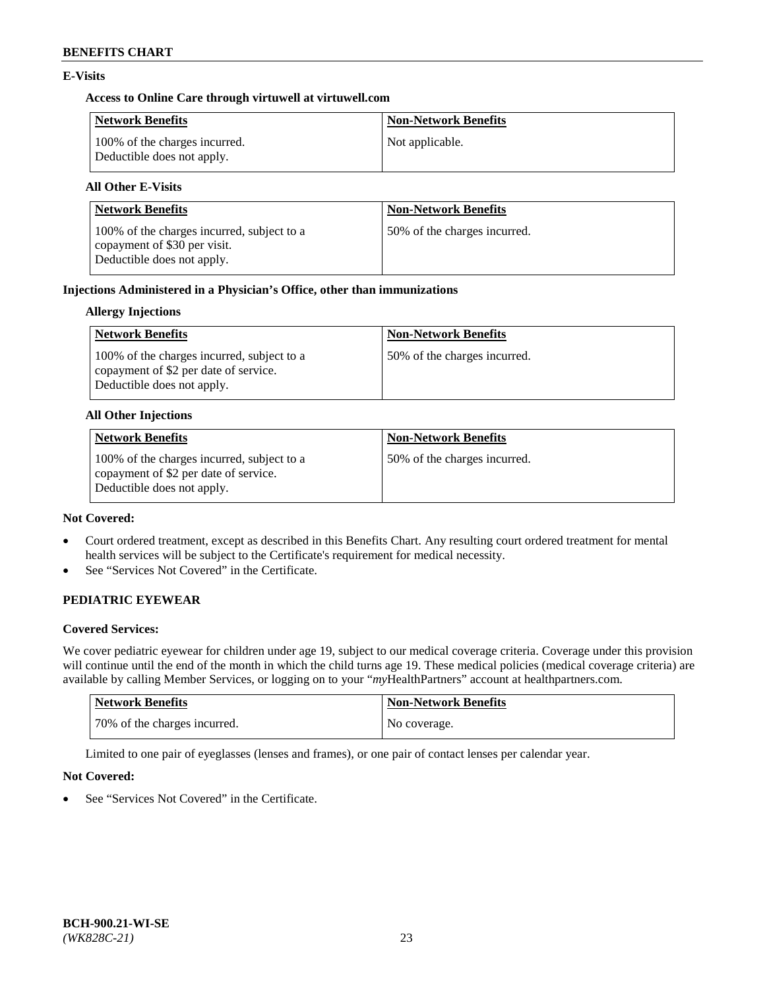# **E-Visits**

## **Access to Online Care through virtuwell a[t virtuwell.com](https://www.virtuwell.com/)**

| Network Benefits                                            | <b>Non-Network Benefits</b> |
|-------------------------------------------------------------|-----------------------------|
| 100% of the charges incurred.<br>Deductible does not apply. | Not applicable.             |

# **All Other E-Visits**

| <b>Network Benefits</b>                                                                                  | <b>Non-Network Benefits</b>  |
|----------------------------------------------------------------------------------------------------------|------------------------------|
| 100% of the charges incurred, subject to a<br>copayment of \$30 per visit.<br>Deductible does not apply. | 50% of the charges incurred. |

# **Injections Administered in a Physician's Office, other than immunizations**

# **Allergy Injections**

| Network Benefits                                                                                                  | <b>Non-Network Benefits</b>  |
|-------------------------------------------------------------------------------------------------------------------|------------------------------|
| 100% of the charges incurred, subject to a<br>copayment of \$2 per date of service.<br>Deductible does not apply. | 50% of the charges incurred. |

### **All Other Injections**

| <b>Network Benefits</b>                                                                                           | <b>Non-Network Benefits</b>  |
|-------------------------------------------------------------------------------------------------------------------|------------------------------|
| 100% of the charges incurred, subject to a<br>copayment of \$2 per date of service.<br>Deductible does not apply. | 50% of the charges incurred. |

### **Not Covered:**

- Court ordered treatment, except as described in this Benefits Chart. Any resulting court ordered treatment for mental health services will be subject to the Certificate's requirement for medical necessity.
- See "Services Not Covered" in the Certificate.

# **PEDIATRIC EYEWEAR**

## **Covered Services:**

We cover pediatric eyewear for children under age 19, subject to our medical coverage criteria. Coverage under this provision will continue until the end of the month in which the child turns age 19. These medical policies (medical coverage criteria) are available by calling Member Services, or logging on to your "*my*HealthPartners" account a[t healthpartners.com.](https://www.healthpartners.com/hp/index.html)

| Network Benefits             | <b>Non-Network Benefits</b> |
|------------------------------|-----------------------------|
| 70% of the charges incurred. | No coverage.                |

Limited to one pair of eyeglasses (lenses and frames), or one pair of contact lenses per calendar year.

## **Not Covered:**

See "Services Not Covered" in the Certificate.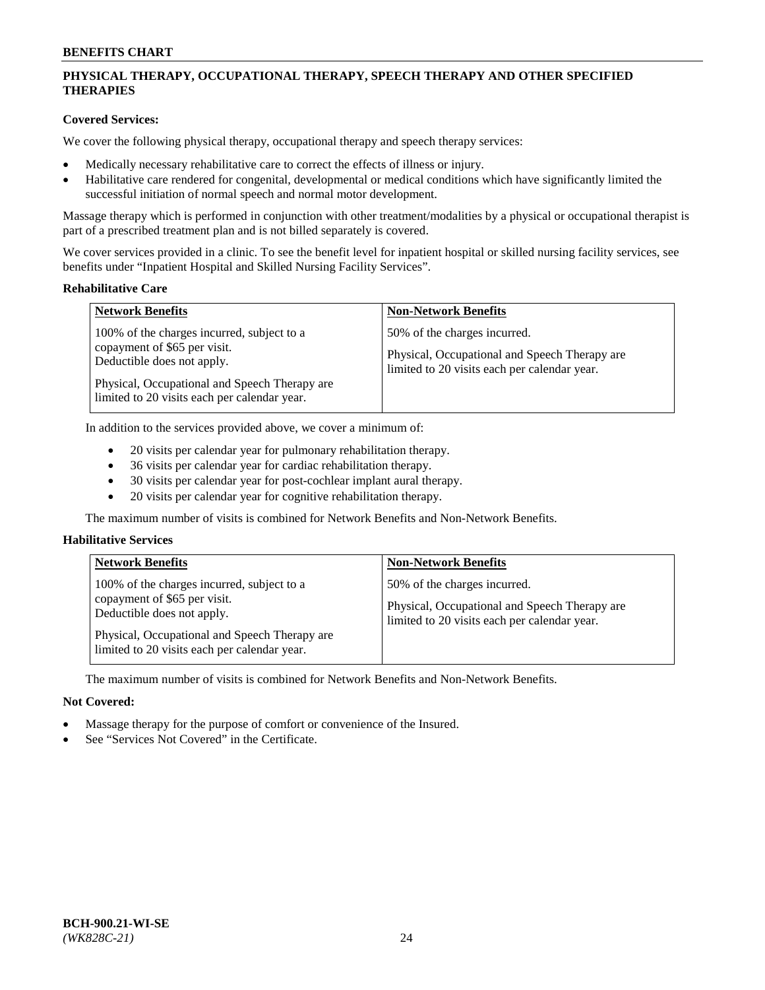# **PHYSICAL THERAPY, OCCUPATIONAL THERAPY, SPEECH THERAPY AND OTHER SPECIFIED THERAPIES**

# **Covered Services:**

We cover the following physical therapy, occupational therapy and speech therapy services:

- Medically necessary rehabilitative care to correct the effects of illness or injury.
- Habilitative care rendered for congenital, developmental or medical conditions which have significantly limited the successful initiation of normal speech and normal motor development.

Massage therapy which is performed in conjunction with other treatment/modalities by a physical or occupational therapist is part of a prescribed treatment plan and is not billed separately is covered.

We cover services provided in a clinic. To see the benefit level for inpatient hospital or skilled nursing facility services, see benefits under "Inpatient Hospital and Skilled Nursing Facility Services".

#### **Rehabilitative Care**

| <b>Network Benefits</b>                                                                                                                                                                                   | <b>Non-Network Benefits</b>                                                                                                   |
|-----------------------------------------------------------------------------------------------------------------------------------------------------------------------------------------------------------|-------------------------------------------------------------------------------------------------------------------------------|
| 100% of the charges incurred, subject to a<br>copayment of \$65 per visit.<br>Deductible does not apply.<br>Physical, Occupational and Speech Therapy are<br>limited to 20 visits each per calendar year. | 50% of the charges incurred.<br>Physical, Occupational and Speech Therapy are<br>limited to 20 visits each per calendar year. |

In addition to the services provided above, we cover a minimum of:

- 20 visits per calendar year for pulmonary rehabilitation therapy.
- 36 visits per calendar year for cardiac rehabilitation therapy.
- 30 visits per calendar year for post-cochlear implant aural therapy.
- 20 visits per calendar year for cognitive rehabilitation therapy.

The maximum number of visits is combined for Network Benefits and Non-Network Benefits.

## **Habilitative Services**

| <b>Network Benefits</b>                                                                                                                                                                                   | <b>Non-Network Benefits</b>                                                                                                   |
|-----------------------------------------------------------------------------------------------------------------------------------------------------------------------------------------------------------|-------------------------------------------------------------------------------------------------------------------------------|
| 100% of the charges incurred, subject to a<br>copayment of \$65 per visit.<br>Deductible does not apply.<br>Physical, Occupational and Speech Therapy are<br>limited to 20 visits each per calendar year. | 50% of the charges incurred.<br>Physical, Occupational and Speech Therapy are<br>limited to 20 visits each per calendar year. |

The maximum number of visits is combined for Network Benefits and Non-Network Benefits.

## **Not Covered:**

- Massage therapy for the purpose of comfort or convenience of the Insured.
- See "Services Not Covered" in the Certificate.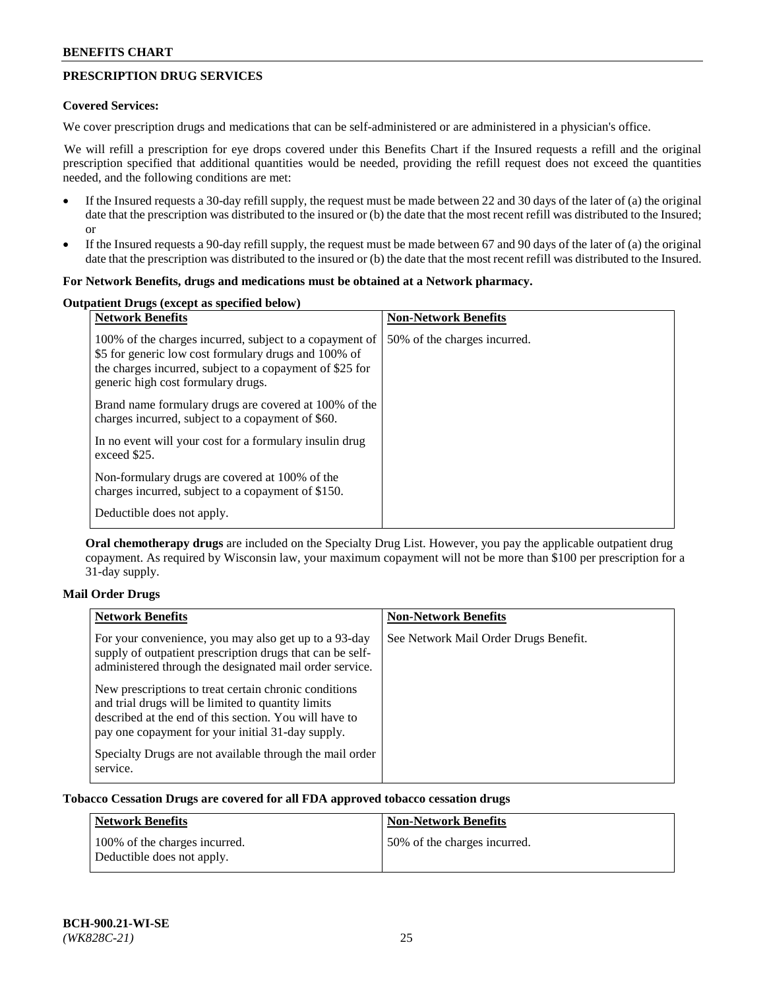# **PRESCRIPTION DRUG SERVICES**

### **Covered Services:**

We cover prescription drugs and medications that can be self-administered or are administered in a physician's office.

We will refill a prescription for eye drops covered under this Benefits Chart if the Insured requests a refill and the original prescription specified that additional quantities would be needed, providing the refill request does not exceed the quantities needed, and the following conditions are met:

- If the Insured requests a 30-day refill supply, the request must be made between 22 and 30 days of the later of (a) the original date that the prescription was distributed to the insured or (b) the date that the most recent refill was distributed to the Insured; or
- If the Insured requests a 90-day refill supply, the request must be made between 67 and 90 days of the later of (a) the original date that the prescription was distributed to the insured or (b) the date that the most recent refill was distributed to the Insured.

### **For Network Benefits, drugs and medications must be obtained at a Network pharmacy.**

# **Outpatient Drugs (except as specified below)**

| <b>Network Benefits</b>                                                                                                                                                                                           | <b>Non-Network Benefits</b>  |
|-------------------------------------------------------------------------------------------------------------------------------------------------------------------------------------------------------------------|------------------------------|
| 100% of the charges incurred, subject to a copayment of<br>\$5 for generic low cost formulary drugs and 100% of<br>the charges incurred, subject to a copayment of \$25 for<br>generic high cost formulary drugs. | 50% of the charges incurred. |
| Brand name formulary drugs are covered at 100% of the<br>charges incurred, subject to a copayment of \$60.                                                                                                        |                              |
| In no event will your cost for a formulary insulin drug<br>exceed \$25.                                                                                                                                           |                              |
| Non-formulary drugs are covered at 100% of the<br>charges incurred, subject to a copayment of \$150.                                                                                                              |                              |
| Deductible does not apply.                                                                                                                                                                                        |                              |

**Oral chemotherapy drugs** are included on the Specialty Drug List. However, you pay the applicable outpatient drug copayment. As required by Wisconsin law, your maximum copayment will not be more than \$100 per prescription for a 31-day supply.

## **Mail Order Drugs**

| <b>Network Benefits</b>                                                                                                                                                                                                    | <b>Non-Network Benefits</b>           |
|----------------------------------------------------------------------------------------------------------------------------------------------------------------------------------------------------------------------------|---------------------------------------|
| For your convenience, you may also get up to a 93-day<br>supply of outpatient prescription drugs that can be self-<br>administered through the designated mail order service.                                              | See Network Mail Order Drugs Benefit. |
| New prescriptions to treat certain chronic conditions<br>and trial drugs will be limited to quantity limits<br>described at the end of this section. You will have to<br>pay one copayment for your initial 31-day supply. |                                       |
| Specialty Drugs are not available through the mail order<br>service.                                                                                                                                                       |                                       |

## **Tobacco Cessation Drugs are covered for all FDA approved tobacco cessation drugs**

| Network Benefits                                            | <b>Non-Network Benefits</b>  |
|-------------------------------------------------------------|------------------------------|
| 100% of the charges incurred.<br>Deductible does not apply. | 50% of the charges incurred. |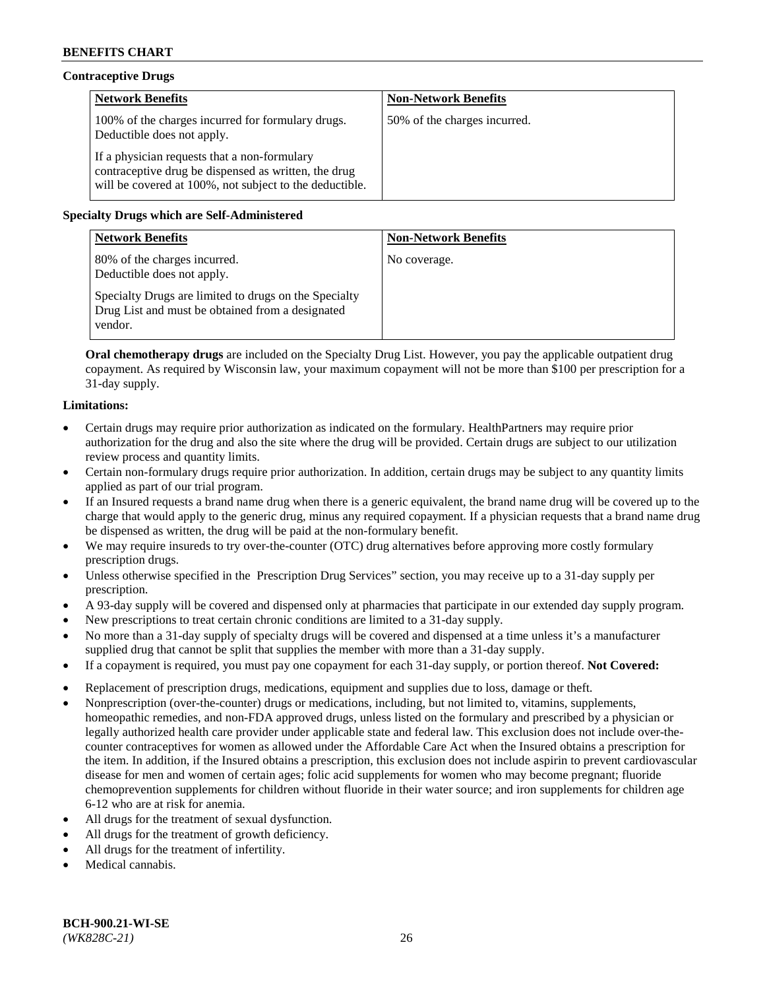# **Contraceptive Drugs**

| <b>Network Benefits</b>                                                                                                                                         | <b>Non-Network Benefits</b>  |
|-----------------------------------------------------------------------------------------------------------------------------------------------------------------|------------------------------|
| 100% of the charges incurred for formulary drugs.<br>Deductible does not apply.                                                                                 | 50% of the charges incurred. |
| If a physician requests that a non-formulary<br>contraceptive drug be dispensed as written, the drug<br>will be covered at 100%, not subject to the deductible. |                              |

# **Specialty Drugs which are Self-Administered**

| <b>Network Benefits</b>                                                                                              | <b>Non-Network Benefits</b> |
|----------------------------------------------------------------------------------------------------------------------|-----------------------------|
| 80% of the charges incurred.<br>Deductible does not apply.                                                           | No coverage.                |
| Specialty Drugs are limited to drugs on the Specialty<br>Drug List and must be obtained from a designated<br>vendor. |                             |

**Oral chemotherapy drugs** are included on the Specialty Drug List. However, you pay the applicable outpatient drug copayment. As required by Wisconsin law, your maximum copayment will not be more than \$100 per prescription for a 31-day supply.

## **Limitations:**

- Certain drugs may require prior authorization as indicated on the formulary. HealthPartners may require prior authorization for the drug and also the site where the drug will be provided. Certain drugs are subject to our utilization review process and quantity limits.
- Certain non-formulary drugs require prior authorization. In addition, certain drugs may be subject to any quantity limits applied as part of our trial program.
- If an Insured requests a brand name drug when there is a generic equivalent, the brand name drug will be covered up to the charge that would apply to the generic drug, minus any required copayment. If a physician requests that a brand name drug be dispensed as written, the drug will be paid at the non-formulary benefit.
- We may require insureds to try over-the-counter (OTC) drug alternatives before approving more costly formulary prescription drugs.
- Unless otherwise specified in the Prescription Drug Services" section, you may receive up to a 31-day supply per prescription.
- A 93-day supply will be covered and dispensed only at pharmacies that participate in our extended day supply program.
- New prescriptions to treat certain chronic conditions are limited to a 31-day supply.
- No more than a 31-day supply of specialty drugs will be covered and dispensed at a time unless it's a manufacturer supplied drug that cannot be split that supplies the member with more than a 31-day supply.
- If a copayment is required, you must pay one copayment for each 31-day supply, or portion thereof. **Not Covered:**
- Replacement of prescription drugs, medications, equipment and supplies due to loss, damage or theft.
- Nonprescription (over-the-counter) drugs or medications, including, but not limited to, vitamins, supplements, homeopathic remedies, and non-FDA approved drugs, unless listed on the formulary and prescribed by a physician or legally authorized health care provider under applicable state and federal law. This exclusion does not include over-thecounter contraceptives for women as allowed under the Affordable Care Act when the Insured obtains a prescription for the item. In addition, if the Insured obtains a prescription, this exclusion does not include aspirin to prevent cardiovascular disease for men and women of certain ages; folic acid supplements for women who may become pregnant; fluoride chemoprevention supplements for children without fluoride in their water source; and iron supplements for children age 6-12 who are at risk for anemia.
- All drugs for the treatment of sexual dysfunction.
- All drugs for the treatment of growth deficiency.
- All drugs for the treatment of infertility.
- Medical cannabis.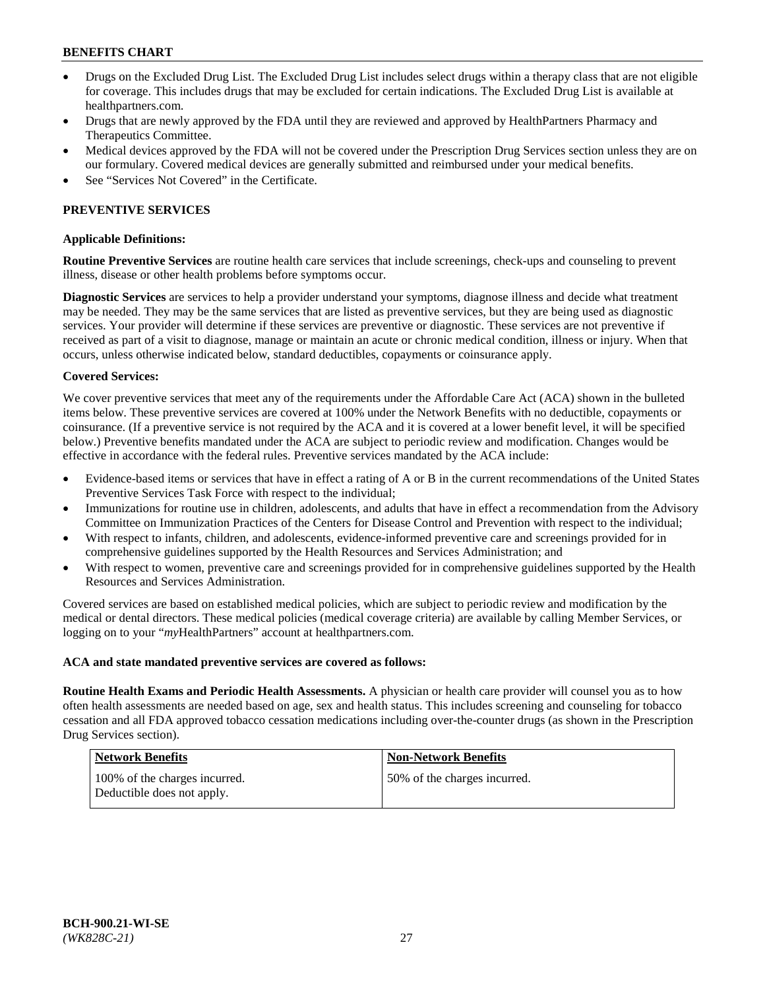- Drugs on the Excluded Drug List. The Excluded Drug List includes select drugs within a therapy class that are not eligible for coverage. This includes drugs that may be excluded for certain indications. The Excluded Drug List is available at [healthpartners.com.](http://www.healthpartners.com/)
- Drugs that are newly approved by the FDA until they are reviewed and approved by HealthPartners Pharmacy and Therapeutics Committee.
- Medical devices approved by the FDA will not be covered under the Prescription Drug Services section unless they are on our formulary. Covered medical devices are generally submitted and reimbursed under your medical benefits.
- See "Services Not Covered" in the Certificate.

## **PREVENTIVE SERVICES**

#### **Applicable Definitions:**

**Routine Preventive Services** are routine health care services that include screenings, check-ups and counseling to prevent illness, disease or other health problems before symptoms occur.

**Diagnostic Services** are services to help a provider understand your symptoms, diagnose illness and decide what treatment may be needed. They may be the same services that are listed as preventive services, but they are being used as diagnostic services. Your provider will determine if these services are preventive or diagnostic. These services are not preventive if received as part of a visit to diagnose, manage or maintain an acute or chronic medical condition, illness or injury. When that occurs, unless otherwise indicated below, standard deductibles, copayments or coinsurance apply.

#### **Covered Services:**

We cover preventive services that meet any of the requirements under the Affordable Care Act (ACA) shown in the bulleted items below. These preventive services are covered at 100% under the Network Benefits with no deductible, copayments or coinsurance. (If a preventive service is not required by the ACA and it is covered at a lower benefit level, it will be specified below.) Preventive benefits mandated under the ACA are subject to periodic review and modification. Changes would be effective in accordance with the federal rules. Preventive services mandated by the ACA include:

- Evidence-based items or services that have in effect a rating of A or B in the current recommendations of the United States Preventive Services Task Force with respect to the individual;
- Immunizations for routine use in children, adolescents, and adults that have in effect a recommendation from the Advisory Committee on Immunization Practices of the Centers for Disease Control and Prevention with respect to the individual;
- With respect to infants, children, and adolescents, evidence-informed preventive care and screenings provided for in comprehensive guidelines supported by the Health Resources and Services Administration; and
- With respect to women, preventive care and screenings provided for in comprehensive guidelines supported by the Health Resources and Services Administration.

Covered services are based on established medical policies, which are subject to periodic review and modification by the medical or dental directors. These medical policies (medical coverage criteria) are available by calling Member Services, or logging on to your "*my*HealthPartners" account at [healthpartners.com.](https://www.healthpartners.com/hp/index.html)

#### **ACA and state mandated preventive services are covered as follows:**

**Routine Health Exams and Periodic Health Assessments.** A physician or health care provider will counsel you as to how often health assessments are needed based on age, sex and health status. This includes screening and counseling for tobacco cessation and all FDA approved tobacco cessation medications including over-the-counter drugs (as shown in the Prescription Drug Services section).

| Network Benefits                                            | <b>Non-Network Benefits</b>  |
|-------------------------------------------------------------|------------------------------|
| 100% of the charges incurred.<br>Deductible does not apply. | 50% of the charges incurred. |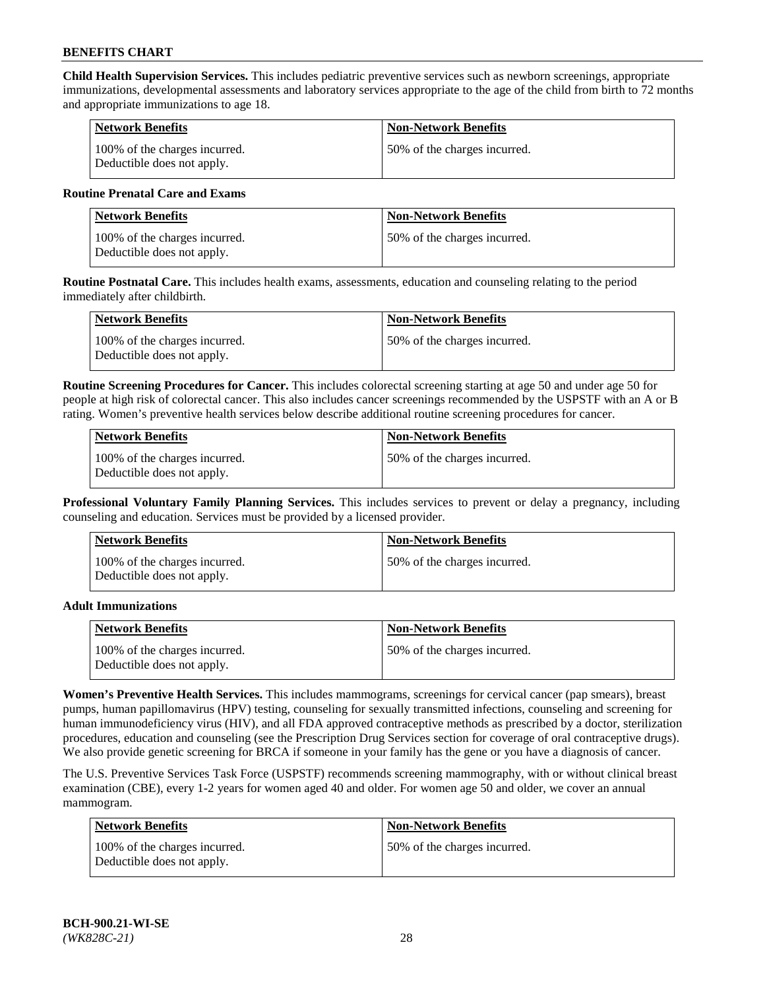**Child Health Supervision Services.** This includes pediatric preventive services such as newborn screenings, appropriate immunizations, developmental assessments and laboratory services appropriate to the age of the child from birth to 72 months and appropriate immunizations to age 18.

| <b>Network Benefits</b>                                     | <b>Non-Network Benefits</b>  |
|-------------------------------------------------------------|------------------------------|
| 100% of the charges incurred.<br>Deductible does not apply. | 50% of the charges incurred. |

### **Routine Prenatal Care and Exams**

| Network Benefits                                            | <b>Non-Network Benefits</b>  |
|-------------------------------------------------------------|------------------------------|
| 100% of the charges incurred.<br>Deductible does not apply. | 50% of the charges incurred. |

**Routine Postnatal Care.** This includes health exams, assessments, education and counseling relating to the period immediately after childbirth.

| <b>Network Benefits</b>                                     | <b>Non-Network Benefits</b>  |
|-------------------------------------------------------------|------------------------------|
| 100% of the charges incurred.<br>Deductible does not apply. | 50% of the charges incurred. |

**Routine Screening Procedures for Cancer.** This includes colorectal screening starting at age 50 and under age 50 for people at high risk of colorectal cancer. This also includes cancer screenings recommended by the USPSTF with an A or B rating. Women's preventive health services below describe additional routine screening procedures for cancer.

| <b>Network Benefits</b>                                     | <b>Non-Network Benefits</b>   |
|-------------------------------------------------------------|-------------------------------|
| 100% of the charges incurred.<br>Deductible does not apply. | 150% of the charges incurred. |

**Professional Voluntary Family Planning Services.** This includes services to prevent or delay a pregnancy, including counseling and education. Services must be provided by a licensed provider.

| <b>Network Benefits</b>                                     | <b>Non-Network Benefits</b>  |
|-------------------------------------------------------------|------------------------------|
| 100% of the charges incurred.<br>Deductible does not apply. | 50% of the charges incurred. |

### **Adult Immunizations**

| Network Benefits                                            | <b>Non-Network Benefits</b>   |
|-------------------------------------------------------------|-------------------------------|
| 100% of the charges incurred.<br>Deductible does not apply. | 150% of the charges incurred. |

**Women's Preventive Health Services.** This includes mammograms, screenings for cervical cancer (pap smears), breast pumps, human papillomavirus (HPV) testing, counseling for sexually transmitted infections, counseling and screening for human immunodeficiency virus (HIV), and all FDA approved contraceptive methods as prescribed by a doctor, sterilization procedures, education and counseling (see the Prescription Drug Services section for coverage of oral contraceptive drugs). We also provide genetic screening for BRCA if someone in your family has the gene or you have a diagnosis of cancer.

The U.S. Preventive Services Task Force (USPSTF) recommends screening mammography, with or without clinical breast examination (CBE), every 1-2 years for women aged 40 and older. For women age 50 and older, we cover an annual mammogram.

| <b>Network Benefits</b>                                     | <b>Non-Network Benefits</b>  |
|-------------------------------------------------------------|------------------------------|
| 100% of the charges incurred.<br>Deductible does not apply. | 50% of the charges incurred. |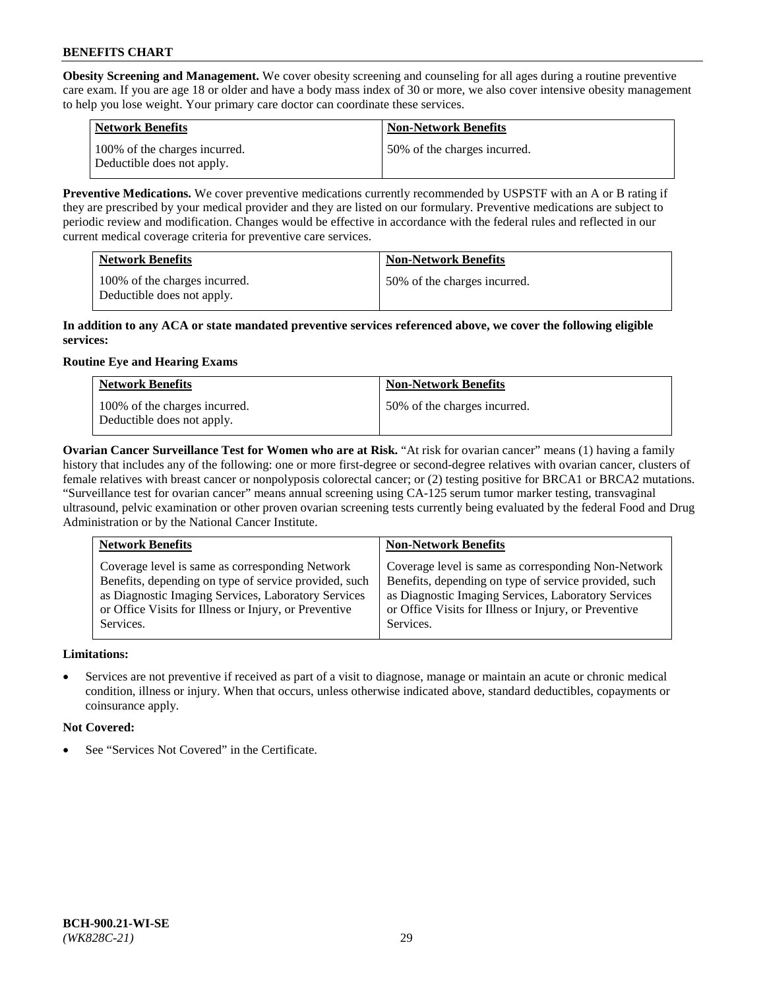**Obesity Screening and Management.** We cover obesity screening and counseling for all ages during a routine preventive care exam. If you are age 18 or older and have a body mass index of 30 or more, we also cover intensive obesity management to help you lose weight. Your primary care doctor can coordinate these services.

| <b>Network Benefits</b>                                     | <b>Non-Network Benefits</b>  |
|-------------------------------------------------------------|------------------------------|
| 100% of the charges incurred.<br>Deductible does not apply. | 50% of the charges incurred. |

**Preventive Medications.** We cover preventive medications currently recommended by USPSTF with an A or B rating if they are prescribed by your medical provider and they are listed on our formulary. Preventive medications are subject to periodic review and modification. Changes would be effective in accordance with the federal rules and reflected in our current medical coverage criteria for preventive care services.

| <b>Network Benefits</b>                                     | <b>Non-Network Benefits</b>  |
|-------------------------------------------------------------|------------------------------|
| 100% of the charges incurred.<br>Deductible does not apply. | 50% of the charges incurred. |

### **In addition to any ACA or state mandated preventive services referenced above, we cover the following eligible services:**

# **Routine Eye and Hearing Exams**

| <b>Network Benefits</b>                                     | <b>Non-Network Benefits</b>  |
|-------------------------------------------------------------|------------------------------|
| 100% of the charges incurred.<br>Deductible does not apply. | 50% of the charges incurred. |

**Ovarian Cancer Surveillance Test for Women who are at Risk.** "At risk for ovarian cancer" means (1) having a family history that includes any of the following: one or more first-degree or second-degree relatives with ovarian cancer, clusters of female relatives with breast cancer or nonpolyposis colorectal cancer; or (2) testing positive for BRCA1 or BRCA2 mutations. "Surveillance test for ovarian cancer" means annual screening using CA-125 serum tumor marker testing, transvaginal ultrasound, pelvic examination or other proven ovarian screening tests currently being evaluated by the federal Food and Drug Administration or by the National Cancer Institute.

| <b>Network Benefits</b>                               | <b>Non-Network Benefits</b>                           |
|-------------------------------------------------------|-------------------------------------------------------|
| Coverage level is same as corresponding Network       | Coverage level is same as corresponding Non-Network   |
| Benefits, depending on type of service provided, such | Benefits, depending on type of service provided, such |
| as Diagnostic Imaging Services, Laboratory Services   | as Diagnostic Imaging Services, Laboratory Services   |
| or Office Visits for Illness or Injury, or Preventive | or Office Visits for Illness or Injury, or Preventive |
| Services.                                             | Services.                                             |

## **Limitations:**

• Services are not preventive if received as part of a visit to diagnose, manage or maintain an acute or chronic medical condition, illness or injury. When that occurs, unless otherwise indicated above, standard deductibles, copayments or coinsurance apply.

## **Not Covered:**

See "Services Not Covered" in the Certificate.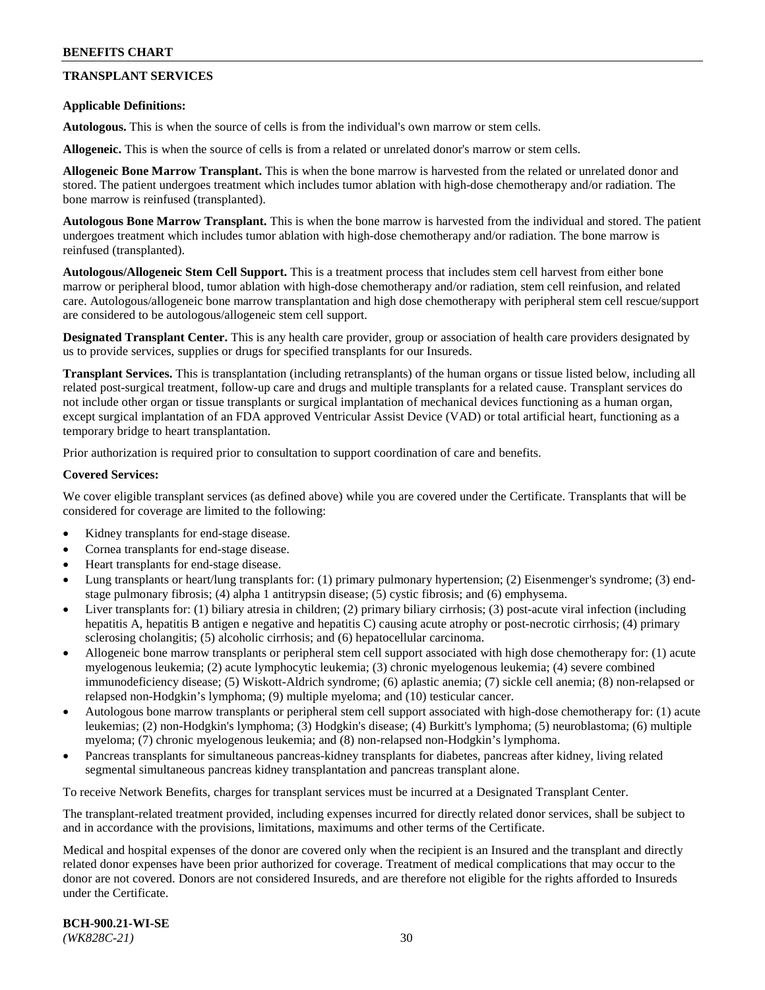# **TRANSPLANT SERVICES**

### **Applicable Definitions:**

**Autologous.** This is when the source of cells is from the individual's own marrow or stem cells.

**Allogeneic.** This is when the source of cells is from a related or unrelated donor's marrow or stem cells.

**Allogeneic Bone Marrow Transplant.** This is when the bone marrow is harvested from the related or unrelated donor and stored. The patient undergoes treatment which includes tumor ablation with high-dose chemotherapy and/or radiation. The bone marrow is reinfused (transplanted).

**Autologous Bone Marrow Transplant.** This is when the bone marrow is harvested from the individual and stored. The patient undergoes treatment which includes tumor ablation with high-dose chemotherapy and/or radiation. The bone marrow is reinfused (transplanted).

**Autologous/Allogeneic Stem Cell Support.** This is a treatment process that includes stem cell harvest from either bone marrow or peripheral blood, tumor ablation with high-dose chemotherapy and/or radiation, stem cell reinfusion, and related care. Autologous/allogeneic bone marrow transplantation and high dose chemotherapy with peripheral stem cell rescue/support are considered to be autologous/allogeneic stem cell support.

**Designated Transplant Center.** This is any health care provider, group or association of health care providers designated by us to provide services, supplies or drugs for specified transplants for our Insureds.

**Transplant Services.** This is transplantation (including retransplants) of the human organs or tissue listed below, including all related post-surgical treatment, follow-up care and drugs and multiple transplants for a related cause. Transplant services do not include other organ or tissue transplants or surgical implantation of mechanical devices functioning as a human organ, except surgical implantation of an FDA approved Ventricular Assist Device (VAD) or total artificial heart, functioning as a temporary bridge to heart transplantation.

Prior authorization is required prior to consultation to support coordination of care and benefits.

### **Covered Services:**

We cover eligible transplant services (as defined above) while you are covered under the Certificate. Transplants that will be considered for coverage are limited to the following:

- Kidney transplants for end-stage disease.
- Cornea transplants for end-stage disease.
- Heart transplants for end-stage disease.
- Lung transplants or heart/lung transplants for: (1) primary pulmonary hypertension; (2) Eisenmenger's syndrome; (3) endstage pulmonary fibrosis; (4) alpha 1 antitrypsin disease; (5) cystic fibrosis; and (6) emphysema.
- Liver transplants for: (1) biliary atresia in children; (2) primary biliary cirrhosis; (3) post-acute viral infection (including hepatitis A, hepatitis B antigen e negative and hepatitis C) causing acute atrophy or post-necrotic cirrhosis; (4) primary sclerosing cholangitis; (5) alcoholic cirrhosis; and (6) hepatocellular carcinoma.
- Allogeneic bone marrow transplants or peripheral stem cell support associated with high dose chemotherapy for: (1) acute myelogenous leukemia; (2) acute lymphocytic leukemia; (3) chronic myelogenous leukemia; (4) severe combined immunodeficiency disease; (5) Wiskott-Aldrich syndrome; (6) aplastic anemia; (7) sickle cell anemia; (8) non-relapsed or relapsed non-Hodgkin's lymphoma; (9) multiple myeloma; and (10) testicular cancer.
- Autologous bone marrow transplants or peripheral stem cell support associated with high-dose chemotherapy for: (1) acute leukemias; (2) non-Hodgkin's lymphoma; (3) Hodgkin's disease; (4) Burkitt's lymphoma; (5) neuroblastoma; (6) multiple myeloma; (7) chronic myelogenous leukemia; and (8) non-relapsed non-Hodgkin's lymphoma.
- Pancreas transplants for simultaneous pancreas-kidney transplants for diabetes, pancreas after kidney, living related segmental simultaneous pancreas kidney transplantation and pancreas transplant alone.

To receive Network Benefits, charges for transplant services must be incurred at a Designated Transplant Center.

The transplant-related treatment provided, including expenses incurred for directly related donor services, shall be subject to and in accordance with the provisions, limitations, maximums and other terms of the Certificate.

Medical and hospital expenses of the donor are covered only when the recipient is an Insured and the transplant and directly related donor expenses have been prior authorized for coverage. Treatment of medical complications that may occur to the donor are not covered. Donors are not considered Insureds, and are therefore not eligible for the rights afforded to Insureds under the Certificate.